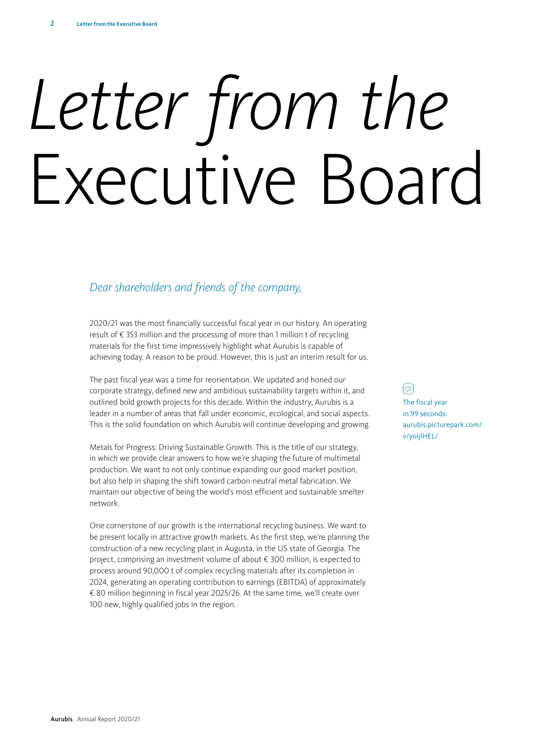# *Letter from the* Executive Board

# *Dear shareholders and friends of the company,*

2020/21 was the most financially successful fiscal year in our history. An operating result of € 353 million and the processing of more than 1 million t of recycling materials for the first time impressively highlight what Aurubis is capable of achieving today. A reason to be proud. However, this is just an interim result for us.

The past fiscal year was a time for reorientation. We updated and honed our corporate strategy, defined new and ambitious sustainability targets within it, and outlined bold growth projects for this decade. Within the industry, Aurubis is a leader in a number of areas that fall under economic, ecological, and social aspects. This is the solid foundation on which Aurubis will continue developing and growing.

Metals for Progress: Driving Sustainable Growth. This is the title of our strategy, in which we provide clear answers to how we're shaping the future of multimetal production. We want to not only continue expanding our good market position, but also help in shaping the shift toward carbon-neutral metal fabrication. We maintain our objective of being the world's most efficient and sustainable smelter network.

One cornerstone of our growth is the international recycling business. We want to be present locally in attractive growth markets. As the first step, we're planning the construction of a new recycling plant in Augusta, in the US state of Georgia. The project, comprising an investment volume of about € 300 million, is expected to process around 90,000 t of complex recycling materials after its completion in 2024, generating an operating contribution to earnings (EBITDA) of approximately € 80 million beginning in fiscal year 2025/26. At the same time, we'll create over 100 new, highly qualified jobs in the region.

 $\sqrt{D}$ 

The fiscal year in 99 seconds: [aurubis.picturepark.com/](aurubis.picturepark.com/v/yoijlHEL/) v/yoijlHEL/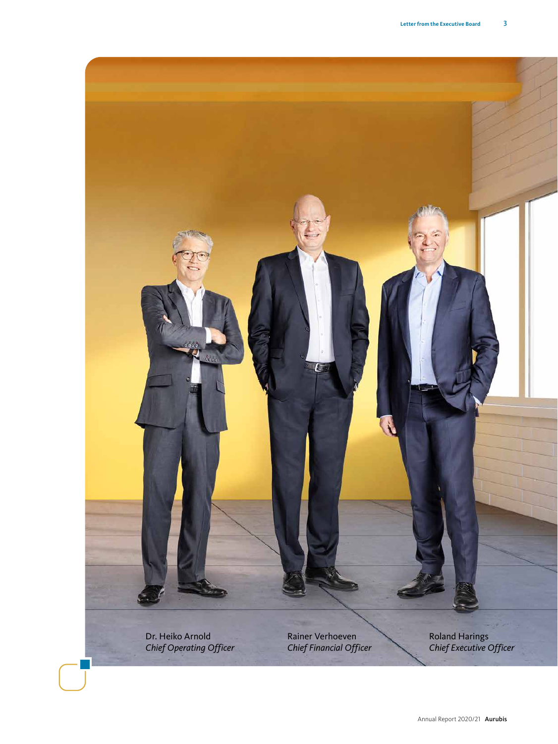

Dr. Heiko Arnold *Chief Operating Officer* Rainer Verhoeven *Chief Financial Officer*

Roland Harings *Chief Executive Officer*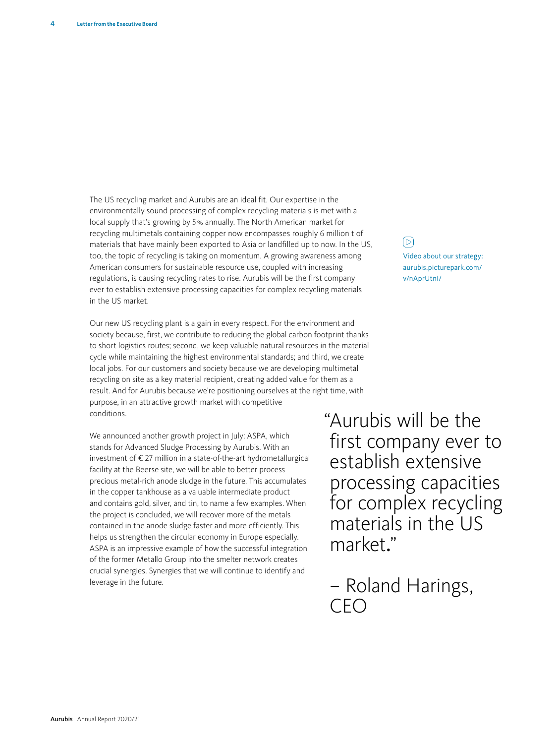The US recycling market and Aurubis are an ideal fit. Our expertise in the environmentally sound processing of complex recycling materials is met with a local supply that's growing by 5% annually. The North American market for recycling multimetals containing copper now encompasses roughly 6 million t of materials that have mainly been exported to Asia or landfilled up to now. In the US, too, the topic of recycling is taking on momentum. A growing awareness among American consumers for sustainable resource use, coupled with increasing regulations, is causing recycling rates to rise. Aurubis will be the first company ever to establish extensive processing capacities for complex recycling materials in the US market.

Our new US recycling plant is a gain in every respect. For the environment and society because, first, we contribute to reducing the global carbon footprint thanks to short logistics routes; second, we keep valuable natural resources in the material cycle while maintaining the highest environmental standards; and third, we create local jobs. For our customers and society because we are developing multimetal recycling on site as a key material recipient, creating added value for them as a result. And for Aurubis because we're positioning ourselves at the right time, with purpose, in an attractive growth market with competitive conditions.

We announced another growth project in July: ASPA, which stands for Advanced Sludge Processing by Aurubis. With an investment of € 27 million in a state-of-the-art hydrometallurgical facility at the Beerse site, we will be able to better process precious metal-rich anode sludge in the future. This accumulates in the copper tankhouse as a valuable intermediate product and contains gold, silver, and tin, to name a few examples. When the project is concluded, we will recover more of the metals contained in the anode sludge faster and more efficiently. This helps us strengthen the circular economy in Europe especially. ASPA is an impressive example of how the successful integration of the former Metallo Group into the smelter network creates crucial synergies. Synergies that we will continue to identify and leverage in the future.

 $\boxed{\triangleright}$ [Video about our strategy:](https://aurubis.picturepark.com/v/nAprUtnI/) [aurubis.picturepark.com/](https://aurubis.picturepark.com/v/nAprUtnI/) [v/nAprUtnI/](https://aurubis.picturepark.com/v/nAprUtnI/)

"Aurubis will be the first company ever to establish extensive processing capacities for complex recycling materials in the US market."

– Roland Harings, CEO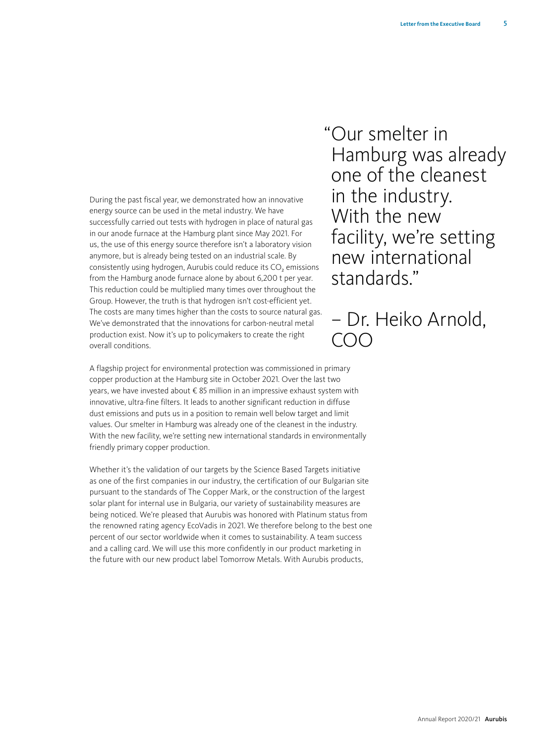During the past fiscal year, we demonstrated how an innovative energy source can be used in the metal industry. We have successfully carried out tests with hydrogen in place of natural gas in our anode furnace at the Hamburg plant since May 2021. For us, the use of this energy source therefore isn't a laboratory vision anymore, but is already being tested on an industrial scale. By consistently using hydrogen, Aurubis could reduce its CO<sub>2</sub> emissions from the Hamburg anode furnace alone by about 6,200 t per year. This reduction could be multiplied many times over throughout the Group. However, the truth is that hydrogen isn't cost-efficient yet. The costs are many times higher than the costs to source natural gas. We've demonstrated that the innovations for carbon-neutral metal production exist. Now it's up to policymakers to create the right overall conditions.

A flagship project for environmental protection was commissioned in primary copper production at the Hamburg site in October 2021. Over the last two years, we have invested about € 85 million in an impressive exhaust system with innovative, ultra-fine filters. It leads to another significant reduction in diffuse dust emissions and puts us in a position to remain well below target and limit values. Our smelter in Hamburg was already one of the cleanest in the industry. With the new facility, we're setting new international standards in environmentally friendly primary copper production.

Whether it's the validation of our targets by the Science Based Targets initiative as one of the first companies in our industry, the certification of our Bulgarian site pursuant to the standards of The Copper Mark, or the construction of the largest solar plant for internal use in Bulgaria, our variety of sustainability measures are being noticed. We're pleased that Aurubis was honored with Platinum status from the renowned rating agency EcoVadis in 2021. We therefore belong to the best one percent of our sector worldwide when it comes to sustainability. A team success and a calling card. We will use this more confidently in our product marketing in the future with our new product label Tomorrow Metals. With Aurubis products,

"Our smelter in Hamburg was already one of the cleanest in the industry. With the new facility, we're setting new international standards."

– Dr. Heiko Arnold, COO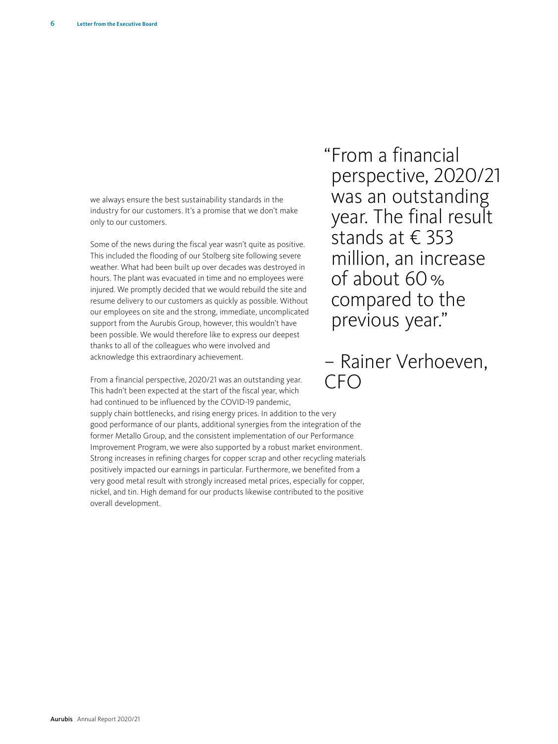we always ensure the best sustainability standards in the industry for our customers. It's a promise that we don't make only to our customers.

Some of the news during the fiscal year wasn't quite as positive. This included the flooding of our Stolberg site following severe weather. What had been built up over decades was destroyed in hours. The plant was evacuated in time and no employees were injured. We promptly decided that we would rebuild the site and resume delivery to our customers as quickly as possible. Without our employees on site and the strong, immediate, uncomplicated support from the Aurubis Group, however, this wouldn't have been possible. We would therefore like to express our deepest thanks to all of the colleagues who were involved and acknowledge this extraordinary achievement.

From a financial perspective, 2020/21 was an outstanding year. This hadn't been expected at the start of the fiscal year, which had continued to be influenced by the COVID-19 pandemic, supply chain bottlenecks, and rising energy prices. In addition to the very good performance of our plants, additional synergies from the integration of the former Metallo Group, and the consistent implementation of our Performance Improvement Program, we were also supported by a robust market environment. Strong increases in refining charges for copper scrap and other recycling materials positively impacted our earnings in particular. Furthermore, we benefited from a very good metal result with strongly increased metal prices, especially for copper, nickel, and tin. High demand for our products likewise contributed to the positive overall development.

"From a financial perspective, 2020/21 was an outstanding year. The final result stands at € 353 million, an increase of about 60% compared to the previous year."

– Rainer Verhoeven,  $CFO$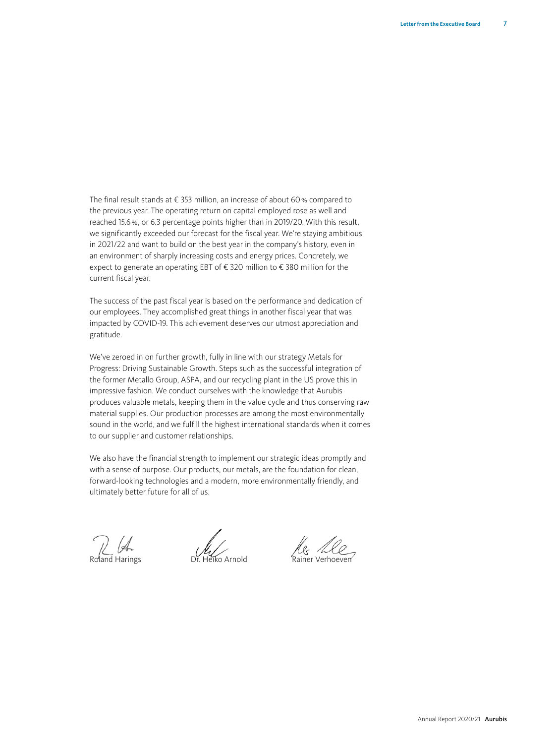The final result stands at € 353 million, an increase of about 60% compared to the previous year. The operating return on capital employed rose as well and reached 15.6%, or 6.3 percentage points higher than in 2019/20. With this result, we significantly exceeded our forecast for the fiscal year. We're staying ambitious in 2021/22 and want to build on the best year in the company's history, even in an environment of sharply increasing costs and energy prices. Concretely, we expect to generate an operating EBT of € 320 million to € 380 million for the current fiscal year.

The success of the past fiscal year is based on the performance and dedication of our employees. They accomplished great things in another fiscal year that was impacted by COVID-19. This achievement deserves our utmost appreciation and gratitude.

We've zeroed in on further growth, fully in line with our strategy Metals for Progress: Driving Sustainable Growth. Steps such as the successful integration of the former Metallo Group, ASPA, and our recycling plant in the US prove this in impressive fashion. We conduct ourselves with the knowledge that Aurubis produces valuable metals, keeping them in the value cycle and thus conserving raw material supplies. Our production processes are among the most environmentally sound in the world, and we fulfill the highest international standards when it comes to our supplier and customer relationships.

We also have the financial strength to implement our strategic ideas promptly and with a sense of purpose. Our products, our metals, are the foundation for clean, forward-looking technologies and a modern, more environmentally friendly, and ultimately better future for all of us.

Roland Harings Dr. Heiko Arnold Rainer Verhoeven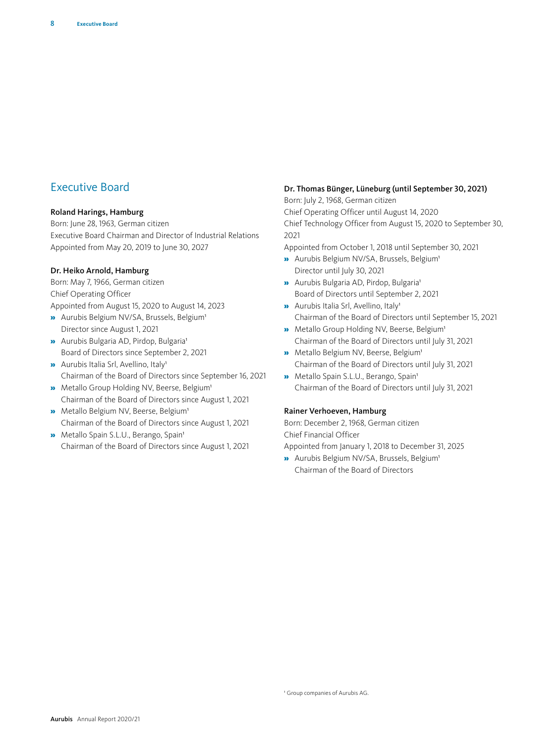# Executive Board

#### Roland Harings, Hamburg

Born: June 28, 1963, German citizen Executive Board Chairman and Director of Industrial Relations Appointed from May 20, 2019 to June 30, 2027

#### Dr. Heiko Arnold, Hamburg

Born: May 7, 1966, German citizen Chief Operating Officer Appointed from August 15, 2020 to August 14, 2023

- » Aurubis Belgium NV/SA, Brussels, Belgium1 Director since August 1, 2021
- » Aurubis Bulgaria AD, Pirdop, Bulgaria1 Board of Directors since September 2, 2021
- » Aurubis Italia Srl, Avellino, Italy1 Chairman of the Board of Directors since September 16, 2021
- » Metallo Group Holding NV, Beerse, Belgium1 Chairman of the Board of Directors since August 1, 2021
- » Metallo Belgium NV, Beerse, Belgium1 Chairman of the Board of Directors since August 1, 2021
- » Metallo Spain S.L.U., Berango, Spain1 Chairman of the Board of Directors since August 1, 2021

#### Dr. Thomas Bünger, Lüneburg (until September 30, 2021)

Born: July 2, 1968, German citizen Chief Operating Officer until August 14, 2020 Chief Technology Officer from August 15, 2020 to September 30, 2021

Appointed from October 1, 2018 until September 30, 2021

- » Aurubis Belgium NV/SA, Brussels, Belgium1 Director until July 30, 2021
- » Aurubis Bulgaria AD, Pirdop, Bulgaria1 Board of Directors until September 2, 2021
- » Aurubis Italia Srl, Avellino, Italy1 Chairman of the Board of Directors until September 15, 2021
- » Metallo Group Holding NV, Beerse, Belgium1 Chairman of the Board of Directors until July 31, 2021
- » Metallo Belgium NV, Beerse, Belgium1 Chairman of the Board of Directors until July 31, 2021
- **»** Metallo Spain S.L.U., Berango, Spain<sup>1</sup> Chairman of the Board of Directors until July 31, 2021

#### Rainer Verhoeven, Hamburg

Born: December 2, 1968, German citizen Chief Financial Officer Appointed from January 1, 2018 to December 31, 2025

» Aurubis Belgium NV/SA, Brussels, Belgium1

Chairman of the Board of Directors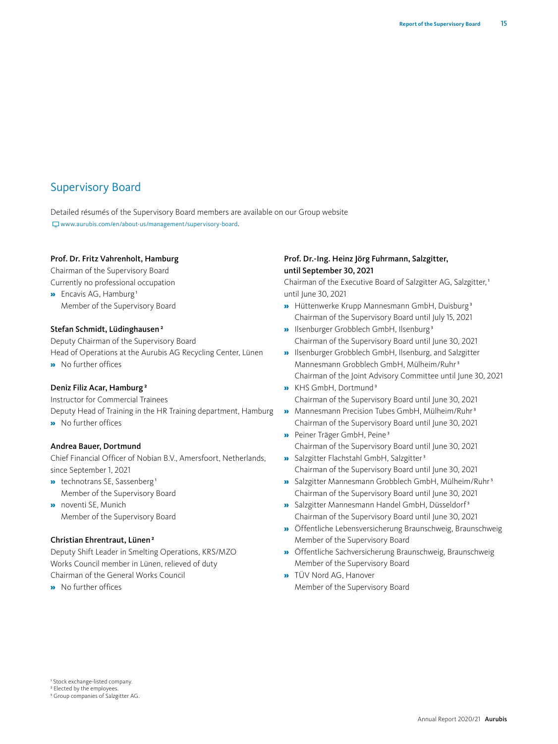# Supervisory Board

Detailed résumés of the Supervisory Board members are available on our Group website [www.aurubis.com/en/about-us/management/supervisory-board](https://www.aurubis.com/en/about-us/management/supervisory-board).

#### Prof. Dr. Fritz Vahrenholt, Hamburg

Chairman of the Supervisory Board Currently no professional occupation

» Encavis AG, Hamburg 1 Member of the Supervisory Board

#### Stefan Schmidt, Lüdinghausen<sup>2</sup>

Deputy Chairman of the Supervisory Board Head of Operations at the Aurubis AG Recycling Center, Lünen » No further offices

Deniz Filiz Acar, Hamburg<sup>2</sup>

Instructor for Commercial Trainees Deputy Head of Training in the HR Training department, Hamburg

» No further offices

#### Andrea Bauer, Dortmund

Chief Financial Officer of Nobian B.V., Amersfoort, Netherlands, since September 1, 2021

- » technotrans SE, Sassenberg 1 Member of the Supervisory Board
- » noventi SE, Munich Member of the Supervisory Board

#### Christian Ehrentraut, Lünen<sup>2</sup>

Deputy Shift Leader in Smelting Operations, KRS/MZO Works Council member in Lünen, relieved of duty Chairman of the General Works Council

» No further offices

#### Prof. Dr.-Ing. Heinz Jörg Fuhrmann, Salzgitter, until September 30, 2021

Chairman of the Executive Board of Salzgitter AG, Salzgitter, 1 until June 30, 2021

- » Hüttenwerke Krupp Mannesmann GmbH, Duisburg 3 Chairman of the Supervisory Board until July 15, 2021
- » Ilsenburger Grobblech GmbH, Ilsenburg 3 Chairman of the Supervisory Board until June 30, 2021
- » Ilsenburger Grobblech GmbH, Ilsenburg, and Salzgitter Mannesmann Grobblech GmbH, Mülheim/Ruhr3 Chairman of the Joint Advisory Committee until June 30, 2021
- » KHS GmbH, Dortmund3 Chairman of the Supervisory Board until June 30, 2021
- » Mannesmann Precision Tubes GmbH, Mülheim/Ruhr3 Chairman of the Supervisory Board until June 30, 2021
- » Peiner Träger GmbH, Peine 3 Chairman of the Supervisory Board until June 30, 2021
- » Salzgitter Flachstahl GmbH, Salzgitter<sup>3</sup> Chairman of the Supervisory Board until June 30, 2021
- » Salzgitter Mannesmann Grobblech GmbH, Mülheim/Ruhr3 Chairman of the Supervisory Board until June 30, 2021
- » Salzgitter Mannesmann Handel GmbH, Düsseldorf3 Chairman of the Supervisory Board until June 30, 2021
- » Öffentliche Lebensversicherung Braunschweig, Braunschweig Member of the Supervisory Board
- » Öffentliche Sachversicherung Braunschweig, Braunschweig Member of the Supervisory Board
- » TÜV Nord AG, Hanover Member of the Supervisory Board

1 Stock exchange-listed company.

<sup>2</sup> Elected by the employees

3 Group companies of Salzgitter AG.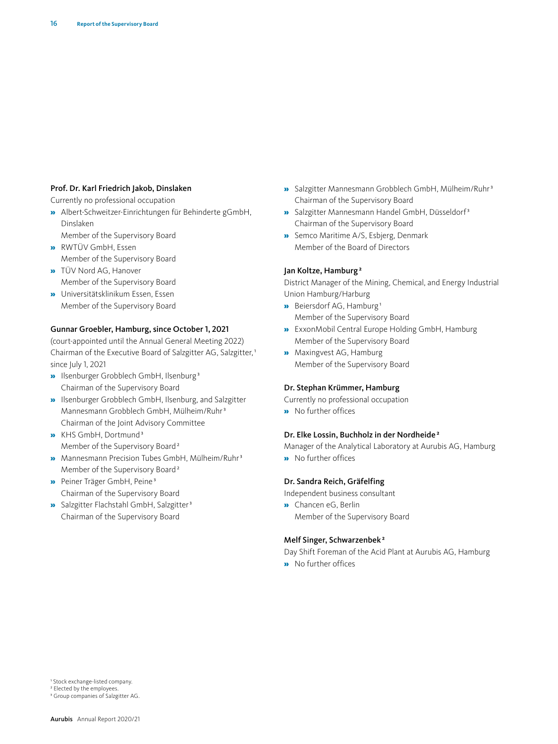#### Prof. Dr. Karl Friedrich Jakob, Dinslaken

Currently no professional occupation

- » Albert-Schweitzer-Einrichtungen für Behinderte gGmbH, Dinslaken
- Member of the Supervisory Board » RWTÜV GmbH, Essen
- Member of the Supervisory Board
- » TÜV Nord AG, Hanover Member of the Supervisory Board
- » Universitätsklinikum Essen, Essen Member of the Supervisory Board

#### Gunnar Groebler, Hamburg, since October 1, 2021

(court-appointed until the Annual General Meeting 2022) Chairman of the Executive Board of Salzgitter AG, Salzgitter, 1 since July 1, 2021

- » Ilsenburger Grobblech GmbH, Ilsenburg 3 Chairman of the Supervisory Board
- » Ilsenburger Grobblech GmbH, Ilsenburg, and Salzgitter Mannesmann Grobblech GmbH, Mülheim/Ruhr3 Chairman of the Joint Advisory Committee
- » KHS GmbH, Dortmund3 Member of the Supervisory Board<sup>2</sup>
- » Mannesmann Precision Tubes GmbH, Mülheim/Ruhr3 Member of the Supervisory Board<sup>2</sup>
- » Peiner Träger GmbH, Peine 3 Chairman of the Supervisory Board
- » Salzgitter Flachstahl GmbH, Salzgitter<sup>3</sup> Chairman of the Supervisory Board
- » Salzgitter Mannesmann Grobblech GmbH, Mülheim/Ruhr3 Chairman of the Supervisory Board
- » Salzgitter Mannesmann Handel GmbH, Düsseldorf3 Chairman of the Supervisory Board
- » Semco Maritime A/S, Esbjerg, Denmark Member of the Board of Directors

#### Jan Koltze, Hamburg<sup>2</sup>

District Manager of the Mining, Chemical, and Energy Industrial Union Hamburg/Harburg

- » Beiersdorf AG, Hamburg 1 Member of the Supervisory Board
- » ExxonMobil Central Europe Holding GmbH, Hamburg Member of the Supervisory Board
- » Maxingvest AG, Hamburg Member of the Supervisory Board

#### Dr. Stephan Krümmer, Hamburg

Currently no professional occupation

» No further offices

#### Dr. Elke Lossin, Buchholz in der Nordheide<sup>2</sup>

Manager of the Analytical Laboratory at Aurubis AG, Hamburg » No further offices

#### Dr. Sandra Reich, Gräfelfing

Independent business consultant

» Chancen eG, Berlin Member of the Supervisory Board

#### Melf Singer, Schwarzenbek 2

Day Shift Foreman of the Acid Plant at Aurubis AG, Hamburg

» No further offices

<sup>1</sup> Stock exchange-listed company.

<sup>&</sup>lt;sup>2</sup> Elected by the employees

<sup>3</sup> Group companies of Salzgitter AG.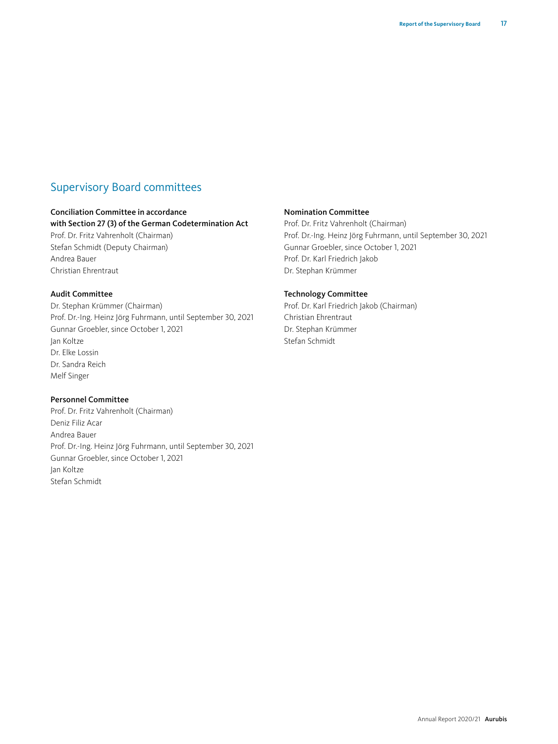# Supervisory Board committees

#### Conciliation Committee in accordance

#### with Section 27 (3) of the German Codetermination Act

Prof. Dr. Fritz Vahrenholt (Chairman) Stefan Schmidt (Deputy Chairman) Andrea Bauer Christian Ehrentraut

#### Audit Committee

Dr. Stephan Krümmer (Chairman) Prof. Dr.-Ing. Heinz Jörg Fuhrmann, until September 30, 2021 Gunnar Groebler, since October 1, 2021 Jan Koltze Dr. Elke Lossin Dr. Sandra Reich Melf Singer

#### Personnel Committee

Prof. Dr. Fritz Vahrenholt (Chairman) Deniz Filiz Acar Andrea Bauer Prof. Dr.-Ing. Heinz Jörg Fuhrmann, until September 30, 2021 Gunnar Groebler, since October 1, 2021 Jan Koltze Stefan Schmidt

#### Nomination Committee

Prof. Dr. Fritz Vahrenholt (Chairman) Prof. Dr.-Ing. Heinz Jörg Fuhrmann, until September 30, 2021 Gunnar Groebler, since October 1, 2021 Prof. Dr. Karl Friedrich Jakob Dr. Stephan Krümmer

#### Technology Committee

Prof. Dr. Karl Friedrich Jakob (Chairman) Christian Ehrentraut Dr. Stephan Krümmer Stefan Schmidt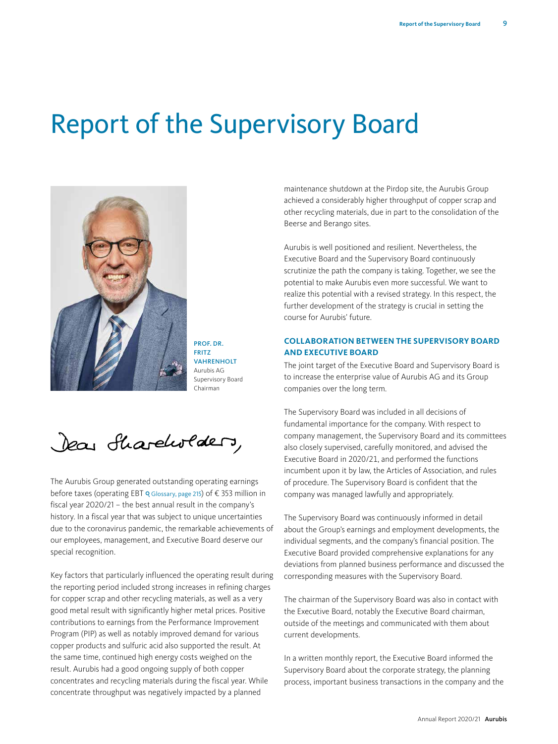# Report of the Supervisory Board



PROF. DR. FRITZ **VAHRENHOLT** Aurubis AG Supervisory Board Chairman

Dear Shareholders,

The Aurubis Group generated outstanding operating earnings before taxe[s \(operating EBT](#page--1-0)  $\overline{Q}$  Glossary, page 215) of  $\epsilon$  353 million in fiscal year 2020/21 – the best annual result in the company's history. In a fiscal year that was subject to unique uncertainties due to the coronavirus pandemic, the remarkable achievements of our employees, management, and Executive Board deserve our special recognition.

Key factors that particularly influenced the operating result during the reporting period included strong increases in refining charges for copper scrap and other recycling materials, as well as a very good metal result with significantly higher metal prices. Positive contributions to earnings from the Performance Improvement Program (PIP) as well as notably improved demand for various copper products and sulfuric acid also supported the result. At the same time, continued high energy costs weighed on the result. Aurubis had a good ongoing supply of both copper concentrates and recycling materials during the fiscal year. While concentrate throughput was negatively impacted by a planned

maintenance shutdown at the Pirdop site, the Aurubis Group achieved a considerably higher throughput of copper scrap and other recycling materials, due in part to the consolidation of the Beerse and Berango sites.

Aurubis is well positioned and resilient. Nevertheless, the Executive Board and the Supervisory Board continuously scrutinize the path the company is taking. Together, we see the potential to make Aurubis even more successful. We want to realize this potential with a revised strategy. In this respect, the further development of the strategy is crucial in setting the course for Aurubis' future.

#### **COLLABORATION BETWEEN THE SUPERVISORY BOARD AND EXECUTIVE BOARD**

The joint target of the Executive Board and Supervisory Board is to increase the enterprise value of Aurubis AG and its Group companies over the long term.

The Supervisory Board was included in all decisions of fundamental importance for the company. With respect to company management, the Supervisory Board and its committees also closely supervised, carefully monitored, and advised the Executive Board in 2020/21, and performed the functions incumbent upon it by law, the Articles of Association, and rules of procedure. The Supervisory Board is confident that the company was managed lawfully and appropriately.

The Supervisory Board was continuously informed in detail about the Group's earnings and employment developments, the individual segments, and the company's financial position. The Executive Board provided comprehensive explanations for any deviations from planned business performance and discussed the corresponding measures with the Supervisory Board.

The chairman of the Supervisory Board was also in contact with the Executive Board, notably the Executive Board chairman, outside of the meetings and communicated with them about current developments.

In a written monthly report, the Executive Board informed the Supervisory Board about the corporate strategy, the planning process, important business transactions in the company and the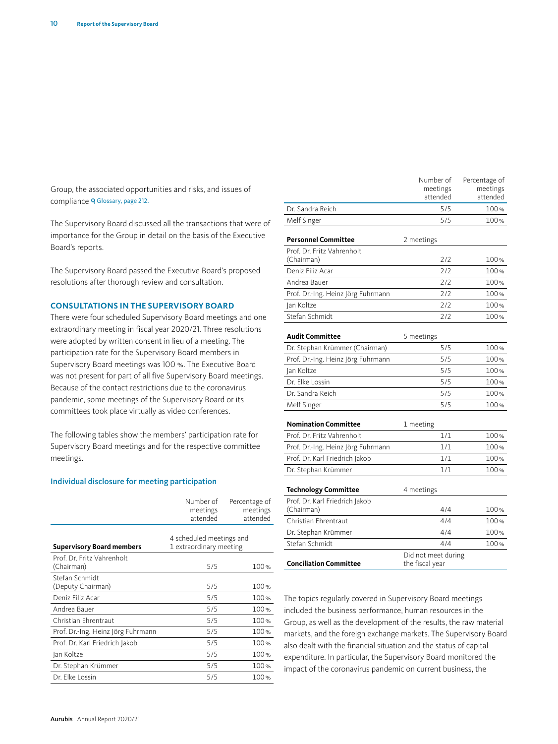Group, the associated opportunities and risks, and issues of compliance Q [Glossary, page 212.](#page--1-0)

The Supervisory Board discussed all the transactions that were of importance for the Group in detail on the basis of the Executive Board's reports.

The Supervisory Board passed the Executive Board's proposed resolutions after thorough review and consultation.

#### **CONSULTATIONS IN THE SUPERVISORY BOARD**

There were four scheduled Supervisory Board meetings and one extraordinary meeting in fiscal year 2020/21. Three resolutions were adopted by written consent in lieu of a meeting. The participation rate for the Supervisory Board members in Supervisory Board meetings was 100 %. The Executive Board was not present for part of all five Supervisory Board meetings. Because of the contact restrictions due to the coronavirus pandemic, some meetings of the Supervisory Board or its committees took place virtually as video conferences.

The following tables show the members' participation rate for Supervisory Board meetings and for the respective committee meetings.

#### Individual disclosure for meeting participation

|                                          | Number of<br>meetings<br>attended                   | Percentage of<br>meetings<br>attended |  |
|------------------------------------------|-----------------------------------------------------|---------------------------------------|--|
| <b>Supervisory Board members</b>         | 4 scheduled meetings and<br>1 extraordinary meeting |                                       |  |
| Prof. Dr. Fritz Vahrenholt<br>(Chairman) | 5/5                                                 | 100%                                  |  |
| Stefan Schmidt<br>(Deputy Chairman)      | 5/5                                                 | 100%                                  |  |
| Deniz Filiz Acar                         | 5/5                                                 | 100%                                  |  |
| Andrea Bauer                             | 5/5                                                 | 100%                                  |  |
| Christian Ehrentraut                     | 5/5                                                 | 100%                                  |  |
| Prof. Dr.-Ing. Heinz Jörg Fuhrmann       | 5/5                                                 | 100%                                  |  |
| Prof. Dr. Karl Friedrich Jakob           | 5/5                                                 | 100%                                  |  |
| Jan Koltze                               | 5/5                                                 | 100%                                  |  |
| Dr. Stephan Krümmer                      | 5/5                                                 | 100%                                  |  |
| Dr. Elke Lossin                          | 5/5                                                 | 100%                                  |  |

|                                              | Number of<br>meetings<br>attended      | Percentage of<br>meetings<br>attended |
|----------------------------------------------|----------------------------------------|---------------------------------------|
| Dr. Sandra Reich                             | 5/5                                    | 100%                                  |
| Melf Singer                                  | 5/5                                    | 100%                                  |
| <b>Personnel Committee</b>                   | 2 meetings                             |                                       |
| Prof. Dr. Fritz Vahrenholt<br>(Chairman)     | 2/2                                    | 100%                                  |
| Deniz Filiz Acar                             | 2/2                                    | 100%                                  |
| Andrea Bauer                                 | 2/2                                    | 100%                                  |
| Prof. Dr.-Ing. Heinz Jörg Fuhrmann           | 2/2                                    | 100%                                  |
| Jan Koltze                                   | 717                                    | 100%                                  |
| Stefan Schmidt                               | 2/2                                    | 100%                                  |
| <b>Audit Committee</b>                       | 5 meetings                             |                                       |
| Dr. Stephan Krümmer (Chairman)               | 5/5                                    | 100%                                  |
| Prof. Dr.-Ing. Heinz Jörg Fuhrmann           | 5/5                                    | 100%                                  |
| Jan Koltze                                   | 5/5                                    | 100%                                  |
| Dr. Elke Lossin                              | 5/5                                    | 100%                                  |
| Dr. Sandra Reich                             | 5/5                                    | 100%                                  |
| Melf Singer                                  | 5/5                                    | 100%                                  |
| <b>Nomination Committee</b>                  | 1 meeting                              |                                       |
| Prof. Dr. Fritz Vahrenholt                   | 1/1                                    | 100%                                  |
| Prof. Dr.-Ing. Heinz Jörg Fuhrmann           | 1/1                                    | 100%                                  |
| Prof. Dr. Karl Friedrich Jakob               | 1/1                                    | 100%                                  |
| Dr. Stephan Krümmer                          | 1/1                                    | 100%                                  |
| <b>Technology Committee</b>                  | 4 meetings                             |                                       |
| Prof. Dr. Karl Friedrich Jakob<br>(Chairman) | 4/4                                    | 100%                                  |
| Christian Ehrentraut                         | 4/4                                    | 100%                                  |
| Dr. Stephan Krümmer                          | 4/4                                    | 100%                                  |
| Stefan Schmidt                               | 4/4                                    | 100%                                  |
| <b>Conciliation Committee</b>                | Did not meet during<br>the fiscal year |                                       |

The topics regularly covered in Supervisory Board meetings included the business performance, human resources in the Group, as well as the development of the results, the raw material markets, and the foreign exchange markets. The Supervisory Board also dealt with the financial situation and the status of capital expenditure. In particular, the Supervisory Board monitored the impact of the coronavirus pandemic on current business, the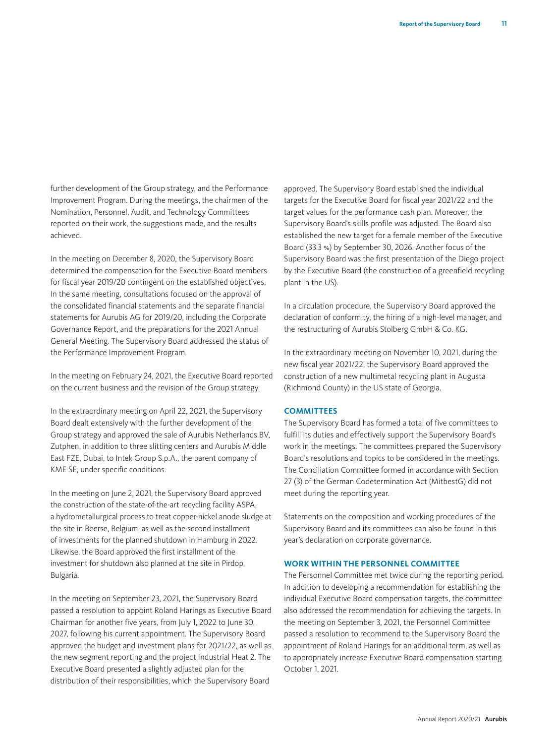further development of the Group strategy, and the Performance Improvement Program. During the meetings, the chairmen of the Nomination, Personnel, Audit, and Technology Committees reported on their work, the suggestions made, and the results achieved.

In the meeting on December 8, 2020, the Supervisory Board determined the compensation for the Executive Board members for fiscal year 2019/20 contingent on the established objectives. In the same meeting, consultations focused on the approval of the consolidated financial statements and the separate financial statements for Aurubis AG for 2019/20, including the Corporate Governance Report, and the preparations for the 2021 Annual General Meeting. The Supervisory Board addressed the status of the Performance Improvement Program.

In the meeting on February 24, 2021, the Executive Board reported on the current business and the revision of the Group strategy.

In the extraordinary meeting on April 22, 2021, the Supervisory Board dealt extensively with the further development of the Group strategy and approved the sale of Aurubis Netherlands BV, Zutphen, in addition to three slitting centers and Aurubis Middle East FZE, Dubai, to Intek Group S.p.A., the parent company of KME SE, under specific conditions.

In the meeting on June 2, 2021, the Supervisory Board approved the construction of the state-of-the-art recycling facility ASPA, a hydrometallurgical process to treat copper-nickel anode sludge at the site in Beerse, Belgium, as well as the second installment of investments for the planned shutdown in Hamburg in 2022. Likewise, the Board approved the first installment of the investment for shutdown also planned at the site in Pirdop, Bulgaria.

In the meeting on September 23, 2021, the Supervisory Board passed a resolution to appoint Roland Harings as Executive Board Chairman for another five years, from July 1, 2022 to June 30, 2027, following his current appointment. The Supervisory Board approved the budget and investment plans for 2021/22, as well as the new segment reporting and the project Industrial Heat 2. The Executive Board presented a slightly adjusted plan for the distribution of their responsibilities, which the Supervisory Board

approved. The Supervisory Board established the individual targets for the Executive Board for fiscal year 2021/22 and the target values for the performance cash plan. Moreover, the Supervisory Board's skills profile was adjusted. The Board also established the new target for a female member of the Executive Board (33.3 %) by September 30, 2026. Another focus of the Supervisory Board was the first presentation of the Diego project by the Executive Board (the construction of a greenfield recycling plant in the US).

In a circulation procedure, the Supervisory Board approved the declaration of conformity, the hiring of a high-level manager, and the restructuring of Aurubis Stolberg GmbH & Co. KG.

In the extraordinary meeting on November 10, 2021, during the new fiscal year 2021/22, the Supervisory Board approved the construction of a new multimetal recycling plant in Augusta (Richmond County) in the US state of Georgia.

#### **COMMITTEES**

The Supervisory Board has formed a total of five committees to fulfill its duties and effectively support the Supervisory Board's work in the meetings. The committees prepared the Supervisory Board's resolutions and topics to be considered in the meetings. The Conciliation Committee formed in accordance with Section 27 (3) of the German Codetermination Act (MitbestG) did not meet during the reporting year.

Statements on the composition and working procedures of the Supervisory Board and its committees can also be found in this year's declaration on corporate governance.

#### **WORK WITHIN THE PERSONNEL COMMITTEE**

The Personnel Committee met twice during the reporting period. In addition to developing a recommendation for establishing the individual Executive Board compensation targets, the committee also addressed the recommendation for achieving the targets. In the meeting on September 3, 2021, the Personnel Committee passed a resolution to recommend to the Supervisory Board the appointment of Roland Harings for an additional term, as well as to appropriately increase Executive Board compensation starting October 1, 2021.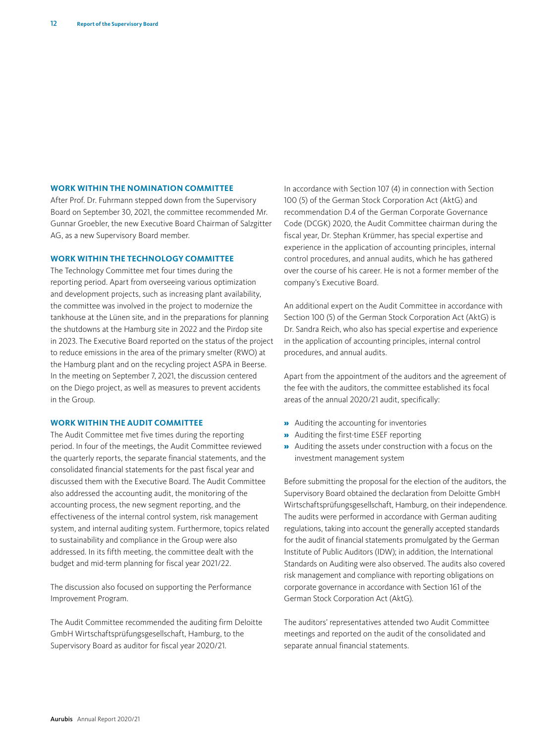#### **WORK WITHIN THE NOMINATION COMMITTEE**

After Prof. Dr. Fuhrmann stepped down from the Supervisory Board on September 30, 2021, the committee recommended Mr. Gunnar Groebler, the new Executive Board Chairman of Salzgitter AG, as a new Supervisory Board member.

#### **WORK WITHIN THE TECHNOLOGY COMMITTEE**

The Technology Committee met four times during the reporting period. Apart from overseeing various optimization and development projects, such as increasing plant availability, the committee was involved in the project to modernize the tankhouse at the Lünen site, and in the preparations for planning the shutdowns at the Hamburg site in 2022 and the Pirdop site in 2023. The Executive Board reported on the status of the project to reduce emissions in the area of the primary smelter (RWO) at the Hamburg plant and on the recycling project ASPA in Beerse. In the meeting on September 7, 2021, the discussion centered on the Diego project, as well as measures to prevent accidents in the Group.

#### **WORK WITHIN THE AUDIT COMMITTEE**

The Audit Committee met five times during the reporting period. In four of the meetings, the Audit Committee reviewed the quarterly reports, the separate financial statements, and the consolidated financial statements for the past fiscal year and discussed them with the Executive Board. The Audit Committee also addressed the accounting audit, the monitoring of the accounting process, the new segment reporting, and the effectiveness of the internal control system, risk management system, and internal auditing system. Furthermore, topics related to sustainability and compliance in the Group were also addressed. In its fifth meeting, the committee dealt with the budget and mid-term planning for fiscal year 2021/22.

The discussion also focused on supporting the Performance Improvement Program.

The Audit Committee recommended the auditing firm Deloitte GmbH Wirtschaftsprüfungsgesellschaft, Hamburg, to the Supervisory Board as auditor for fiscal year 2020/21.

In accordance with Section 107 (4) in connection with Section 100 (5) of the German Stock Corporation Act (AktG) and recommendation D.4 of the German Corporate Governance Code (DCGK) 2020, the Audit Committee chairman during the fiscal year, Dr. Stephan Krümmer, has special expertise and experience in the application of accounting principles, internal control procedures, and annual audits, which he has gathered over the course of his career. He is not a former member of the company's Executive Board.

An additional expert on the Audit Committee in accordance with Section 100 (5) of the German Stock Corporation Act (AktG) is Dr. Sandra Reich, who also has special expertise and experience in the application of accounting principles, internal control procedures, and annual audits.

Apart from the appointment of the auditors and the agreement of the fee with the auditors, the committee established its focal areas of the annual 2020/21 audit, specifically:

- » Auditing the accounting for inventories
- » Auditing the first-time ESEF reporting
- » Auditing the assets under construction with a focus on the investment management system

Before submitting the proposal for the election of the auditors, the Supervisory Board obtained the declaration from Deloitte GmbH Wirtschaftsprüfungsgesellschaft, Hamburg, on their independence. The audits were performed in accordance with German auditing regulations, taking into account the generally accepted standards for the audit of financial statements promulgated by the German Institute of Public Auditors (IDW); in addition, the International Standards on Auditing were also observed. The audits also covered risk management and compliance with reporting obligations on corporate governance in accordance with Section 161 of the German Stock Corporation Act (AktG).

The auditors' representatives attended two Audit Committee meetings and reported on the audit of the consolidated and separate annual financial statements.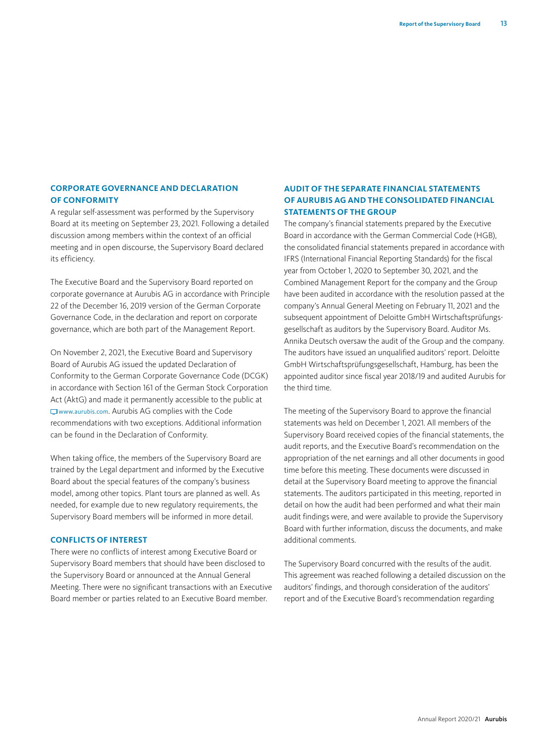#### **CORPORATE GOVERNANCE AND DECLARATION OF CONFORMITY**

A regular self-assessment was performed by the Supervisory Board at its meeting on September 23, 2021. Following a detailed discussion among members within the context of an official meeting and in open discourse, the Supervisory Board declared its efficiency.

The Executive Board and the Supervisory Board reported on corporate governance at Aurubis AG in accordance with Principle 22 of the December 16, 2019 version of the German Corporate Governance Code, in the declaration and report on corporate governance, which are both part of the Management Report.

On November 2, 2021, the Executive Board and Supervisory Board of Aurubis AG issued the updated Declaration of Conformity to the German Corporate Governance Code (DCGK) in accordance with Section 161 of the German Stock Corporation Act (AktG) and made it permanently accessible to the public at [www.aurubis.com](https://www.aurubis.com/en/). Aurubis AG complies with the Code recommendations with two exceptions. Additional information can be found in the Declaration of Conformity.

When taking office, the members of the Supervisory Board are trained by the Legal department and informed by the Executive Board about the special features of the company's business model, among other topics. Plant tours are planned as well. As needed, for example due to new regulatory requirements, the Supervisory Board members will be informed in more detail.

#### **CONFLICTS OF INTEREST**

There were no conflicts of interest among Executive Board or Supervisory Board members that should have been disclosed to the Supervisory Board or announced at the Annual General Meeting. There were no significant transactions with an Executive Board member or parties related to an Executive Board member.

#### **AUDIT OF THE SEPARATE FINANCIAL STATEMENTS OF AURUBIS AG AND THE CONSOLIDATED FINANCIAL STATEMENTS OF THE GROUP**

The company's financial statements prepared by the Executive Board in accordance with the German Commercial Code (HGB), the consolidated financial statements prepared in accordance with IFRS (International Financial Reporting Standards) for the fiscal year from October 1, 2020 to September 30, 2021, and the Combined Management Report for the company and the Group have been audited in accordance with the resolution passed at the company's Annual General Meeting on February 11, 2021 and the subsequent appointment of Deloitte GmbH Wirtschaftsprüfungsgesellschaft as auditors by the Supervisory Board. Auditor Ms. Annika Deutsch oversaw the audit of the Group and the company. The auditors have issued an unqualified auditors' report. Deloitte GmbH Wirtschaftsprüfungsgesellschaft, Hamburg, has been the appointed auditor since fiscal year 2018/19 and audited Aurubis for the third time.

The meeting of the Supervisory Board to approve the financial statements was held on December 1, 2021. All members of the Supervisory Board received copies of the financial statements, the audit reports, and the Executive Board's recommendation on the appropriation of the net earnings and all other documents in good time before this meeting. These documents were discussed in detail at the Supervisory Board meeting to approve the financial statements. The auditors participated in this meeting, reported in detail on how the audit had been performed and what their main audit findings were, and were available to provide the Supervisory Board with further information, discuss the documents, and make additional comments.

The Supervisory Board concurred with the results of the audit. This agreement was reached following a detailed discussion on the auditors' findings, and thorough consideration of the auditors' report and of the Executive Board's recommendation regarding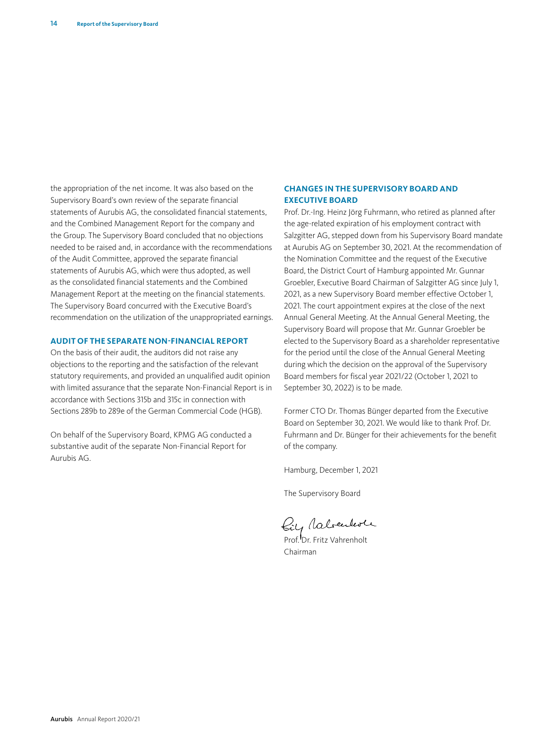the appropriation of the net income. It was also based on the Supervisory Board's own review of the separate financial statements of Aurubis AG, the consolidated financial statements, and the Combined Management Report for the company and the Group. The Supervisory Board concluded that no objections needed to be raised and, in accordance with the recommendations of the Audit Committee, approved the separate financial statements of Aurubis AG, which were thus adopted, as well as the consolidated financial statements and the Combined Management Report at the meeting on the financial statements. The Supervisory Board concurred with the Executive Board's recommendation on the utilization of the unappropriated earnings.

#### **AUDIT OF THE SEPARATE NON-FINANCIAL REPORT**

On the basis of their audit, the auditors did not raise any objections to the reporting and the satisfaction of the relevant statutory requirements, and provided an unqualified audit opinion with limited assurance that the separate Non-Financial Report is in accordance with Sections 315b and 315c in connection with Sections 289b to 289e of the German Commercial Code (HGB).

On behalf of the Supervisory Board, KPMG AG conducted a substantive audit of the separate Non-Financial Report for Aurubis AG.

#### **CHANGES IN THE SUPERVISORY BOARD AND EXECUTIVE BOARD**

Prof. Dr.-Ing. Heinz Jörg Fuhrmann, who retired as planned after the age-related expiration of his employment contract with Salzgitter AG, stepped down from his Supervisory Board mandate at Aurubis AG on September 30, 2021. At the recommendation of the Nomination Committee and the request of the Executive Board, the District Court of Hamburg appointed Mr. Gunnar Groebler, Executive Board Chairman of Salzgitter AG since July 1, 2021, as a new Supervisory Board member effective October 1, 2021. The court appointment expires at the close of the next Annual General Meeting. At the Annual General Meeting, the Supervisory Board will propose that Mr. Gunnar Groebler be elected to the Supervisory Board as a shareholder representative for the period until the close of the Annual General Meeting during which the decision on the approval of the Supervisory Board members for fiscal year 2021/22 (October 1, 2021 to September 30, 2022) is to be made.

Former CTO Dr. Thomas Bünger departed from the Executive Board on September 30, 2021. We would like to thank Prof. Dr. Fuhrmann and Dr. Bünger for their achievements for the benefit of the company.

Hamburg, December 1, 2021

The Supervisory Board

Prof. Dr. Fritz Vahrenholt

Chairman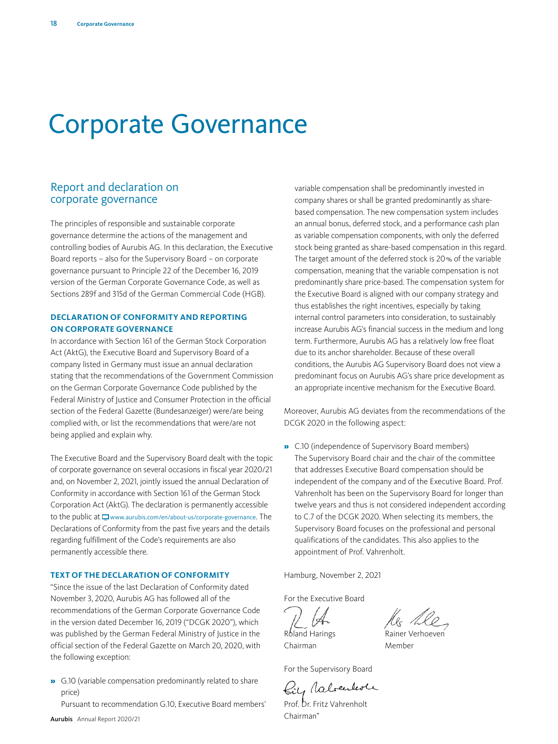# Corporate Governance

# Report and declaration on corporate governance

The principles of responsible and sustainable corporate governance determine the actions of the management and controlling bodies of Aurubis AG. In this declaration, the Executive Board reports – also for the Supervisory Board – on corporate governance pursuant to Principle 22 of the December 16, 2019 version of the German Corporate Governance Code, as well as Sections 289f and 315d of the German Commercial Code (HGB).

#### **DECLARATION OF CONFORMITY AND REPORTING ON CORPORATE GOVERNANCE**

In accordance with Section 161 of the German Stock Corporation Act (AktG), the Executive Board and Supervisory Board of a company listed in Germany must issue an annual declaration stating that the recommendations of the Government Commission on the German Corporate Governance Code published by the Federal Ministry of Justice and Consumer Protection in the official section of the Federal Gazette (Bundesanzeiger) were/are being complied with, or list the recommendations that were/are not being applied and explain why.

The Executive Board and the Supervisory Board dealt with the topic of corporate governance on several occasions in fiscal year 2020/21 and, on November 2, 2021, jointly issued the annual Declaration of Conformity in accordance with Section 161 of the German Stock Corporation Act (AktG). The declaration is permanently accessible to the public at  $\Box$  [www.aurubis.com/en/about-us/corporate-governance](https://www.aurubis.com/en/about-us/corporate-governance). The Declarations of Conformity from the past five years and the details regarding fulfillment of the Code's requirements are also permanently accessible there.

#### **TEXT OF THE DECLARATION OF CONFORMITY**

"Since the issue of the last Declaration of Conformity dated November 3, 2020, Aurubis AG has followed all of the recommendations of the German Corporate Governance Code in the version dated December 16, 2019 ("DCGK 2020"), which was published by the German Federal Ministry of Justice in the official section of the Federal Gazette on March 20, 2020, with the following exception:

» G.10 (variable compensation predominantly related to share price)

Pursuant to recommendation G.10, Executive Board members'

variable compensation shall be predominantly invested in company shares or shall be granted predominantly as sharebased compensation. The new compensation system includes an annual bonus, deferred stock, and a performance cash plan as variable compensation components, with only the deferred stock being granted as share-based compensation in this regard. The target amount of the deferred stock is 20% of the variable compensation, meaning that the variable compensation is not predominantly share price-based. The compensation system for the Executive Board is aligned with our company strategy and thus establishes the right incentives, especially by taking internal control parameters into consideration, to sustainably increase Aurubis AG's financial success in the medium and long term. Furthermore, Aurubis AG has a relatively low free float due to its anchor shareholder. Because of these overall conditions, the Aurubis AG Supervisory Board does not view a predominant focus on Aurubis AG's share price development as an appropriate incentive mechanism for the Executive Board.

Moreover, Aurubis AG deviates from the recommendations of the DCGK 2020 in the following aspect:

» C.10 (independence of Supervisory Board members) The Supervisory Board chair and the chair of the committee that addresses Executive Board compensation should be independent of the company and of the Executive Board. Prof. Vahrenholt has been on the Supervisory Board for longer than twelve years and thus is not considered independent according to C.7 of the DCGK 2020. When selecting its members, the Supervisory Board focuses on the professional and personal qualifications of the candidates. This also applies to the appointment of Prof. Vahrenholt.

Hamburg, November 2, 2021

For the Executive Board

Roland Harings **Rainer Verhoeven** 

Chairman Member

For the Supervisory Board

Biy Rabendever

Prof. Dr. Fritz Vahrenholt Chairman"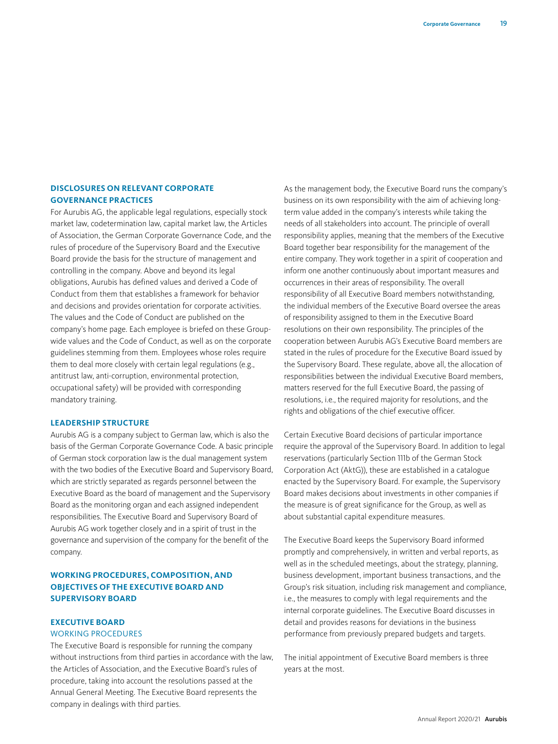#### **DISCLOSURES ON RELEVANT CORPORATE GOVERNANCE PRACTICES**

For Aurubis AG, the applicable legal regulations, especially stock market law, codetermination law, capital market law, the Articles of Association, the German Corporate Governance Code, and the rules of procedure of the Supervisory Board and the Executive Board provide the basis for the structure of management and controlling in the company. Above and beyond its legal obligations, Aurubis has defined values and derived a Code of Conduct from them that establishes a framework for behavior and decisions and provides orientation for corporate activities. The values and the Code of Conduct are published on the company's home page. Each employee is briefed on these Groupwide values and the Code of Conduct, as well as on the corporate guidelines stemming from them. Employees whose roles require them to deal more closely with certain legal regulations (e.g., antitrust law, anti-corruption, environmental protection, occupational safety) will be provided with corresponding mandatory training.

#### **LEADERSHIP STRUCTURE**

Aurubis AG is a company subject to German law, which is also the basis of the German Corporate Governance Code. A basic principle of German stock corporation law is the dual management system with the two bodies of the Executive Board and Supervisory Board, which are strictly separated as regards personnel between the Executive Board as the board of management and the Supervisory Board as the monitoring organ and each assigned independent responsibilities. The Executive Board and Supervisory Board of Aurubis AG work together closely and in a spirit of trust in the governance and supervision of the company for the benefit of the company.

#### **WORKING PROCEDURES, COMPOSITION, AND OBJECTIVES OF THE EXECUTIVE BOARD AND SUPERVISORY BOARD**

#### **EXECUTIVE BOARD**

#### WORKING PROCEDURES

The Executive Board is responsible for running the company without instructions from third parties in accordance with the law, the Articles of Association, and the Executive Board's rules of procedure, taking into account the resolutions passed at the Annual General Meeting. The Executive Board represents the company in dealings with third parties.

As the management body, the Executive Board runs the company's business on its own responsibility with the aim of achieving longterm value added in the company's interests while taking the needs of all stakeholders into account. The principle of overall responsibility applies, meaning that the members of the Executive Board together bear responsibility for the management of the entire company. They work together in a spirit of cooperation and inform one another continuously about important measures and occurrences in their areas of responsibility. The overall responsibility of all Executive Board members notwithstanding, the individual members of the Executive Board oversee the areas of responsibility assigned to them in the Executive Board resolutions on their own responsibility. The principles of the cooperation between Aurubis AG's Executive Board members are stated in the rules of procedure for the Executive Board issued by the Supervisory Board. These regulate, above all, the allocation of responsibilities between the individual Executive Board members, matters reserved for the full Executive Board, the passing of resolutions, i.e., the required majority for resolutions, and the rights and obligations of the chief executive officer.

Certain Executive Board decisions of particular importance require the approval of the Supervisory Board. In addition to legal reservations (particularly Section 111b of the German Stock Corporation Act (AktG)), these are established in a catalogue enacted by the Supervisory Board. For example, the Supervisory Board makes decisions about investments in other companies if the measure is of great significance for the Group, as well as about substantial capital expenditure measures.

The Executive Board keeps the Supervisory Board informed promptly and comprehensively, in written and verbal reports, as well as in the scheduled meetings, about the strategy, planning, business development, important business transactions, and the Group's risk situation, including risk management and compliance, i.e., the measures to comply with legal requirements and the internal corporate guidelines. The Executive Board discusses in detail and provides reasons for deviations in the business performance from previously prepared budgets and targets.

The initial appointment of Executive Board members is three years at the most.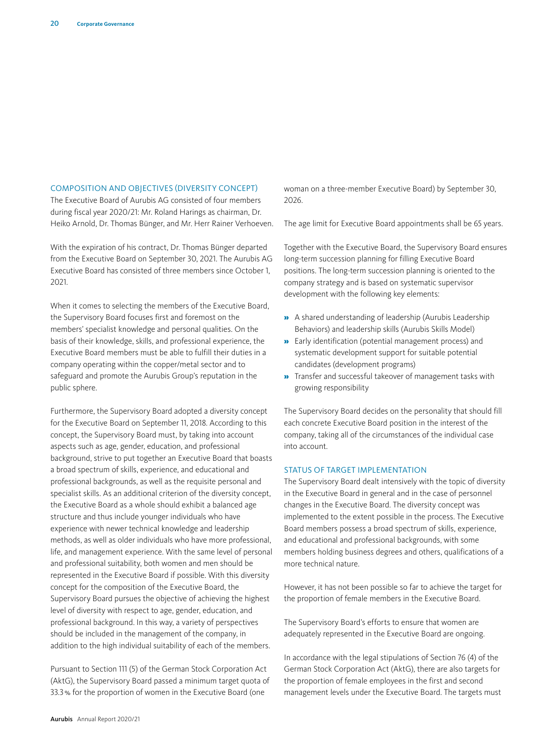#### COMPOSITION AND OBJECTIVES (DIVERSITY CONCEPT)

The Executive Board of Aurubis AG consisted of four members during fiscal year 2020/21: Mr. Roland Harings as chairman, Dr. Heiko Arnold, Dr. Thomas Bünger, and Mr. Herr Rainer Verhoeven.

With the expiration of his contract, Dr. Thomas Bünger departed from the Executive Board on September 30, 2021. The Aurubis AG Executive Board has consisted of three members since October 1, 2021.

When it comes to selecting the members of the Executive Board, the Supervisory Board focuses first and foremost on the members' specialist knowledge and personal qualities. On the basis of their knowledge, skills, and professional experience, the Executive Board members must be able to fulfill their duties in a company operating within the copper/metal sector and to safeguard and promote the Aurubis Group's reputation in the public sphere.

Furthermore, the Supervisory Board adopted a diversity concept for the Executive Board on September 11, 2018. According to this concept, the Supervisory Board must, by taking into account aspects such as age, gender, education, and professional background, strive to put together an Executive Board that boasts a broad spectrum of skills, experience, and educational and professional backgrounds, as well as the requisite personal and specialist skills. As an additional criterion of the diversity concept, the Executive Board as a whole should exhibit a balanced age structure and thus include younger individuals who have experience with newer technical knowledge and leadership methods, as well as older individuals who have more professional, life, and management experience. With the same level of personal and professional suitability, both women and men should be represented in the Executive Board if possible. With this diversity concept for the composition of the Executive Board, the Supervisory Board pursues the objective of achieving the highest level of diversity with respect to age, gender, education, and professional background. In this way, a variety of perspectives should be included in the management of the company, in addition to the high individual suitability of each of the members.

Pursuant to Section 111 (5) of the German Stock Corporation Act (AktG), the Supervisory Board passed a minimum target quota of 33.3% for the proportion of women in the Executive Board (one

woman on a three-member Executive Board) by September 30, 2026.

The age limit for Executive Board appointments shall be 65 years.

Together with the Executive Board, the Supervisory Board ensures long-term succession planning for filling Executive Board positions. The long-term succession planning is oriented to the company strategy and is based on systematic supervisor development with the following key elements:

- » A shared understanding of leadership (Aurubis Leadership Behaviors) and leadership skills (Aurubis Skills Model)
- » Early identification (potential management process) and systematic development support for suitable potential candidates (development programs)
- » Transfer and successful takeover of management tasks with growing responsibility

The Supervisory Board decides on the personality that should fill each concrete Executive Board position in the interest of the company, taking all of the circumstances of the individual case into account.

#### STATUS OF TARGET IMPLEMENTATION

The Supervisory Board dealt intensively with the topic of diversity in the Executive Board in general and in the case of personnel changes in the Executive Board. The diversity concept was implemented to the extent possible in the process. The Executive Board members possess a broad spectrum of skills, experience, and educational and professional backgrounds, with some members holding business degrees and others, qualifications of a more technical nature.

However, it has not been possible so far to achieve the target for the proportion of female members in the Executive Board.

The Supervisory Board's efforts to ensure that women are adequately represented in the Executive Board are ongoing.

In accordance with the legal stipulations of Section 76 (4) of the German Stock Corporation Act (AktG), there are also targets for the proportion of female employees in the first and second management levels under the Executive Board. The targets must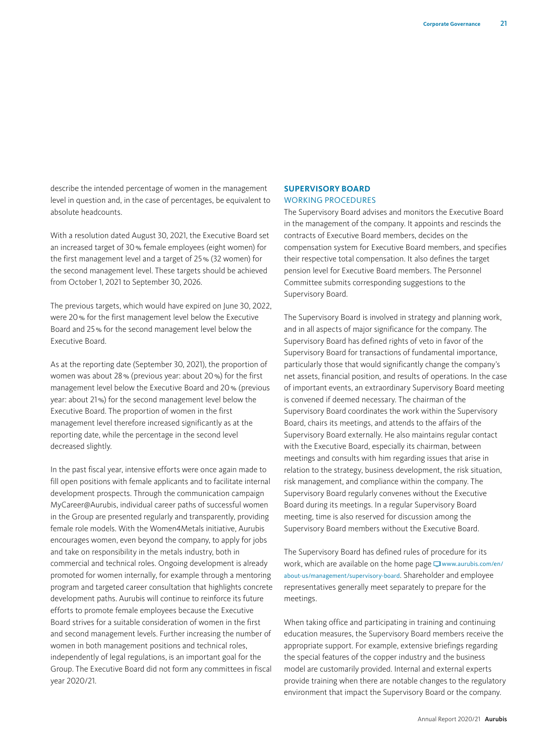describe the intended percentage of women in the management level in question and, in the case of percentages, be equivalent to absolute headcounts.

With a resolution dated August 30, 2021, the Executive Board set an increased target of 30% female employees (eight women) for the first management level and a target of 25% (32 women) for the second management level. These targets should be achieved from October 1, 2021 to September 30, 2026.

The previous targets, which would have expired on June 30, 2022, were 20% for the first management level below the Executive Board and 25% for the second management level below the Executive Board.

As at the reporting date (September 30, 2021), the proportion of women was about 28% (previous year: about 20%) for the first management level below the Executive Board and 20% (previous year: about 21%) for the second management level below the Executive Board. The proportion of women in the first management level therefore increased significantly as at the reporting date, while the percentage in the second level decreased slightly.

In the past fiscal year, intensive efforts were once again made to fill open positions with female applicants and to facilitate internal development prospects. Through the communication campaign MyCareer@Aurubis, individual career paths of successful women in the Group are presented regularly and transparently, providing female role models. With the Women4Metals initiative, Aurubis encourages women, even beyond the company, to apply for jobs and take on responsibility in the metals industry, both in commercial and technical roles. Ongoing development is already promoted for women internally, for example through a mentoring program and targeted career consultation that highlights concrete development paths. Aurubis will continue to reinforce its future efforts to promote female employees because the Executive Board strives for a suitable consideration of women in the first and second management levels. Further increasing the number of women in both management positions and technical roles, independently of legal regulations, is an important goal for the Group. The Executive Board did not form any committees in fiscal year 2020/21.

#### **SUPERVISORY BOARD** WORKING PROCEDURES

The Supervisory Board advises and monitors the Executive Board in the management of the company. It appoints and rescinds the contracts of Executive Board members, decides on the compensation system for Executive Board members, and specifies their respective total compensation. It also defines the target pension level for Executive Board members. The Personnel Committee submits corresponding suggestions to the Supervisory Board.

The Supervisory Board is involved in strategy and planning work, and in all aspects of major significance for the company. The Supervisory Board has defined rights of veto in favor of the Supervisory Board for transactions of fundamental importance, particularly those that would significantly change the company's net assets, financial position, and results of operations. In the case of important events, an extraordinary Supervisory Board meeting is convened if deemed necessary. The chairman of the Supervisory Board coordinates the work within the Supervisory Board, chairs its meetings, and attends to the affairs of the Supervisory Board externally. He also maintains regular contact with the Executive Board, especially its chairman, between meetings and consults with him regarding issues that arise in relation to the strategy, business development, the risk situation, risk management, and compliance within the company. The Supervisory Board regularly convenes without the Executive Board during its meetings. In a regular Supervisory Board meeting, time is also reserved for discussion among the Supervisory Board members without the Executive Board.

The Supervisory Board has defined rules of procedure for its work, which are available on the home page  $\Box$  [www.aurubis.com/en/](https://www.aurubis.com/en/about-us/management/supervisory-board) [about-us/management/supervisory-board](https://www.aurubis.com/en/about-us/management/supervisory-board). [Shareholder and employee](http://www.aurubis.com/de/uber-aurubis/konzern/aufsichtsrat)  [representatives generally meet separately to prepare for the](http://www.aurubis.com/de/uber-aurubis/konzern/aufsichtsrat)  [meetings.](http://www.aurubis.com/de/uber-aurubis/konzern/aufsichtsrat)

When taking office and participating in training and continuing education measures, the Supervisory Board members receive the appropriate support. For example, extensive briefings regarding the special features of the copper industry and the business model are customarily provided. Internal and external experts provide training when there are notable changes to the regulatory environment that impact the Supervisory Board or the company.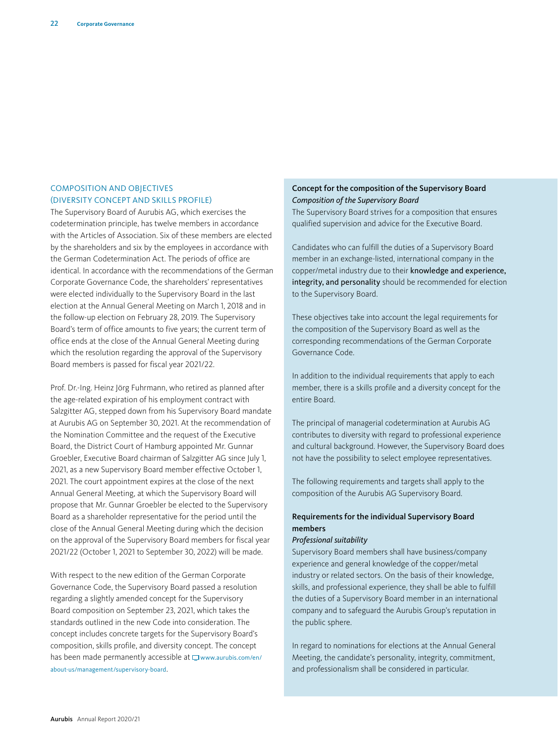### COMPOSITION AND OBJECTIVES (DIVERSITY CONCEPT AND SKILLS PROFILE)

The Supervisory Board of Aurubis AG, which exercises the codetermination principle, has twelve members in accordance with the Articles of Association. Six of these members are elected by the shareholders and six by the employees in accordance with the German Codetermination Act. The periods of office are identical. In accordance with the recommendations of the German Corporate Governance Code, the shareholders' representatives were elected individually to the Supervisory Board in the last election at the Annual General Meeting on March 1, 2018 and in the follow-up election on February 28, 2019. The Supervisory Board's term of office amounts to five years; the current term of office ends at the close of the Annual General Meeting during which the resolution regarding the approval of the Supervisory Board members is passed for fiscal year 2021/22.

Prof. Dr.-Ing. Heinz Jörg Fuhrmann, who retired as planned after the age-related expiration of his employment contract with Salzgitter AG, stepped down from his Supervisory Board mandate at Aurubis AG on September 30, 2021. At the recommendation of the Nomination Committee and the request of the Executive Board, the District Court of Hamburg appointed Mr. Gunnar Groebler, Executive Board chairman of Salzgitter AG since July 1, 2021, as a new Supervisory Board member effective October 1, 2021. The court appointment expires at the close of the next Annual General Meeting, at which the Supervisory Board will propose that Mr. Gunnar Groebler be elected to the Supervisory Board as a shareholder representative for the period until the close of the Annual General Meeting during which the decision on the approval of the Supervisory Board members for fiscal year 2021/22 (October 1, 2021 to September 30, 2022) will be made.

With respect to the new edition of the German Corporate Governance Code, the Supervisory Board passed a resolution regarding a slightly amended concept for the Supervisory Board composition on September 23, 2021, which takes the standards outlined in the new Code into consideration. The concept includes concrete targets for the Supervisory Board's composition, skills profile, and diversity concept. The concept has been made permanently accessible at  $\Box$  [www.aurubis.com/en/](https://www.aurubis.com/en/about-us/management/supervisory-board) [about-us/management/supervisory-board](https://www.aurubis.com/en/about-us/management/supervisory-board).

#### Concept for the composition of the Supervisory Board *Composition of the Supervisory Board*

The Supervisory Board strives for a composition that ensures qualified supervision and advice for the Executive Board.

Candidates who can fulfill the duties of a Supervisory Board member in an exchange-listed, international company in the copper/metal industry due to their knowledge and experience, integrity, and personality should be recommended for election to the Supervisory Board.

These objectives take into account the legal requirements for the composition of the Supervisory Board as well as the corresponding recommendations of the German Corporate Governance Code.

In addition to the individual requirements that apply to each member, there is a skills profile and a diversity concept for the entire Board.

The principal of managerial codetermination at Aurubis AG contributes to diversity with regard to professional experience and cultural background. However, the Supervisory Board does not have the possibility to select employee representatives.

The following requirements and targets shall apply to the composition of the Aurubis AG Supervisory Board.

#### Requirements for the individual Supervisory Board members

#### *Professional suitability*

Supervisory Board members shall have business/company experience and general knowledge of the copper/metal industry or related sectors. On the basis of their knowledge, skills, and professional experience, they shall be able to fulfill the duties of a Supervisory Board member in an international company and to safeguard the Aurubis Group's reputation in the public sphere.

In regard to nominations for elections at the Annual General Meeting, the candidate's personality, integrity, commitment, and professionalism shall be considered in particular.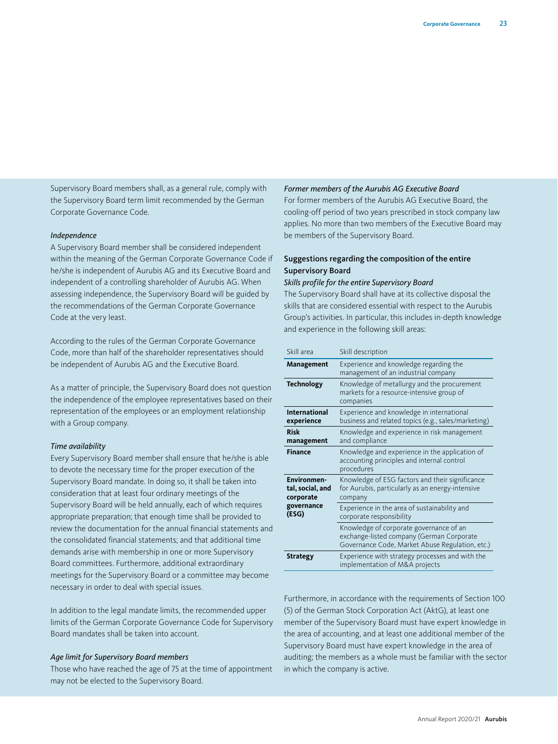Supervisory Board members shall, as a general rule, comply with the Supervisory Board term limit recommended by the German Corporate Governance Code.

#### *Independence*

A Supervisory Board member shall be considered independent within the meaning of the German Corporate Governance Code if he/she is independent of Aurubis AG and its Executive Board and independent of a controlling shareholder of Aurubis AG. When assessing independence, the Supervisory Board will be guided by the recommendations of the German Corporate Governance Code at the very least.

According to the rules of the German Corporate Governance Code, more than half of the shareholder representatives should be independent of Aurubis AG and the Executive Board.

As a matter of principle, the Supervisory Board does not question the independence of the employee representatives based on their representation of the employees or an employment relationship with a Group company.

#### *Time availability*

Every Supervisory Board member shall ensure that he/she is able to devote the necessary time for the proper execution of the Supervisory Board mandate. In doing so, it shall be taken into consideration that at least four ordinary meetings of the Supervisory Board will be held annually, each of which requires appropriate preparation; that enough time shall be provided to review the documentation for the annual financial statements and the consolidated financial statements; and that additional time demands arise with membership in one or more Supervisory Board committees. Furthermore, additional extraordinary meetings for the Supervisory Board or a committee may become necessary in order to deal with special issues.

In addition to the legal mandate limits, the recommended upper limits of the German Corporate Governance Code for Supervisory Board mandates shall be taken into account.

#### *Age limit for Supervisory Board members*

Those who have reached the age of 75 at the time of appointment may not be elected to the Supervisory Board.

#### *Former members of the Aurubis AG Executive Board*

For former members of the Aurubis AG Executive Board, the cooling-off period of two years prescribed in stock company law applies. No more than two members of the Executive Board may be members of the Supervisory Board.

#### Suggestions regarding the composition of the entire Supervisory Board

#### *Skills profile for the entire Supervisory Board*

The Supervisory Board shall have at its collective disposal the skills that are considered essential with respect to the Aurubis Group's activities. In particular, this includes in-depth knowledge and experience in the following skill areas:

| Skill area                                          | Skill description                                                                                                                       |
|-----------------------------------------------------|-----------------------------------------------------------------------------------------------------------------------------------------|
| Management                                          | Experience and knowledge regarding the<br>management of an industrial company                                                           |
| <b>Technology</b>                                   | Knowledge of metallurgy and the procurement<br>markets for a resource-intensive group of<br>companies                                   |
| International<br>experience                         | Experience and knowledge in international<br>business and related topics (e.g., sales/marketing)                                        |
| <b>Risk</b><br>management                           | Knowledge and experience in risk management<br>and compliance                                                                           |
| <b>Finance</b>                                      | Knowledge and experience in the application of<br>accounting principles and internal control<br>procedures                              |
| <b>Environmen-</b><br>tal, social, and<br>corporate | Knowledge of ESG factors and their significance<br>for Aurubis, particularly as an energy-intensive<br>company                          |
| governance<br>(ESG)                                 | Experience in the area of sustainability and<br>corporate responsibility                                                                |
|                                                     | Knowledge of corporate governance of an<br>exchange-listed company (German Corporate<br>Governance Code, Market Abuse Regulation, etc.) |
| <b>Strategy</b>                                     | Experience with strategy processes and with the<br>implementation of M&A projects                                                       |

Furthermore, in accordance with the requirements of Section 100 (5) of the German Stock Corporation Act (AktG), at least one member of the Supervisory Board must have expert knowledge in the area of accounting, and at least one additional member of the Supervisory Board must have expert knowledge in the area of auditing; the members as a whole must be familiar with the sector in which the company is active.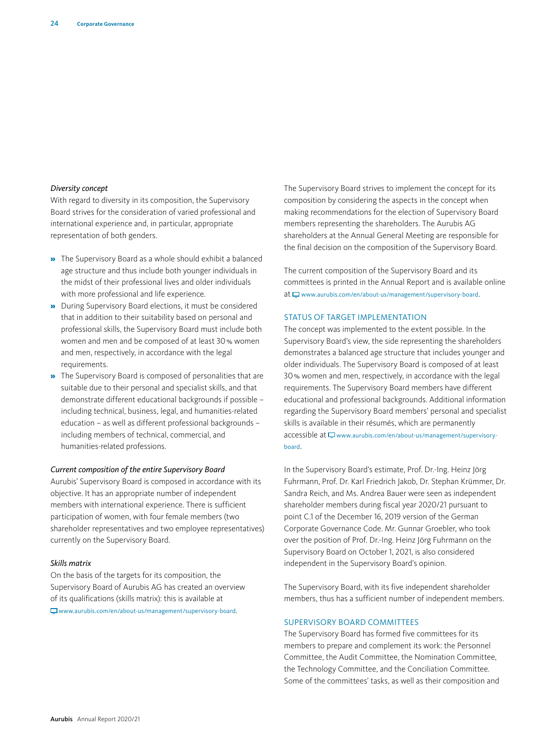#### *Diversity concept*

With regard to diversity in its composition, the Supervisory Board strives for the consideration of varied professional and international experience and, in particular, appropriate representation of both genders.

- » The Supervisory Board as a whole should exhibit a balanced age structure and thus include both younger individuals in the midst of their professional lives and older individuals with more professional and life experience.
- » During Supervisory Board elections, it must be considered that in addition to their suitability based on personal and professional skills, the Supervisory Board must include both women and men and be composed of at least 30% women and men, respectively, in accordance with the legal requirements.
- » The Supervisory Board is composed of personalities that are suitable due to their personal and specialist skills, and that demonstrate different educational backgrounds if possible – including technical, business, legal, and humanities-related education – as well as different professional backgrounds – including members of technical, commercial, and humanities-related professions.

#### *Current composition of the entire Supervisory Board*

Aurubis' Supervisory Board is composed in accordance with its objective. It has an appropriate number of independent members with international experience. There is sufficient participation of women, with four female members (two shareholder representatives and two employee representatives) currently on the Supervisory Board.

#### *Skills matrix*

On the basis of the targets for its composition, the Supervisory Board of Aurubis AG has created an overview of its qualifications (skills matrix): this is available at [www.aurubis.com/en/about-us/management/supervisory-board](https://www.aurubis.com/en/about-us/management/supervisory-board).

The Supervisory Board strives to implement the concept for its composition by considering the aspects in the concept when making recommendations for the election of Supervisory Board members representing the shareholders. The Aurubis AG shareholders at the Annual General Meeting are responsible for the final decision on the composition of the Supervisory Board.

The current composition of the Supervisory Board and its committees is printed in the Annual Report and is available online at  $\Box$  [www.aurubis.com/en/about-us/management/supervisory-board](https://www.aurubis.com/en/about-us/management/supervisory-board).

#### STATUS OF TARGET IMPLEMENTATION

The concept was implemented to the extent possible. In the Supervisory Board's view, the side representing the shareholders demonstrates a balanced age structure that includes younger and older individuals. The Supervisory Board is composed of at least 30% women and men, respectively, in accordance with the legal requirements. The Supervisory Board members have different educational and professional backgrounds. Additional information regarding the Supervisory Board members' personal and specialist skills is available in their résumés, which are permanently accessible at  $\Box$  [www.aurubis.com/en/about-us/management/supervisory](https://www.aurubis.com/en/about-us/management/supervisory-board)[board](https://www.aurubis.com/en/about-us/management/supervisory-board).

In the Supervisory Board's estimate, Prof. Dr.-Ing. Heinz Jörg Fuhrmann, Prof. Dr. Karl Friedrich Jakob, Dr. Stephan Krümmer, Dr. Sandra Reich, and Ms. Andrea Bauer were seen as independent shareholder members during fiscal year 2020/21 pursuant to point C.1 of the December 16, 2019 version of the German Corporate Governance Code. Mr. Gunnar Groebler, who took over the position of Prof. Dr.-Ing. Heinz Jörg Fuhrmann on the Supervisory Board on October 1, 2021, is also considered independent in the Supervisory Board's opinion.

The Supervisory Board, with its five independent shareholder members, thus has a sufficient number of independent members.

#### SUPERVISORY BOARD COMMITTEES

The Supervisory Board has formed five committees for its members to prepare and complement its work: the Personnel Committee, the Audit Committee, the Nomination Committee, the Technology Committee, and the Conciliation Committee. Some of the committees' tasks, as well as their composition and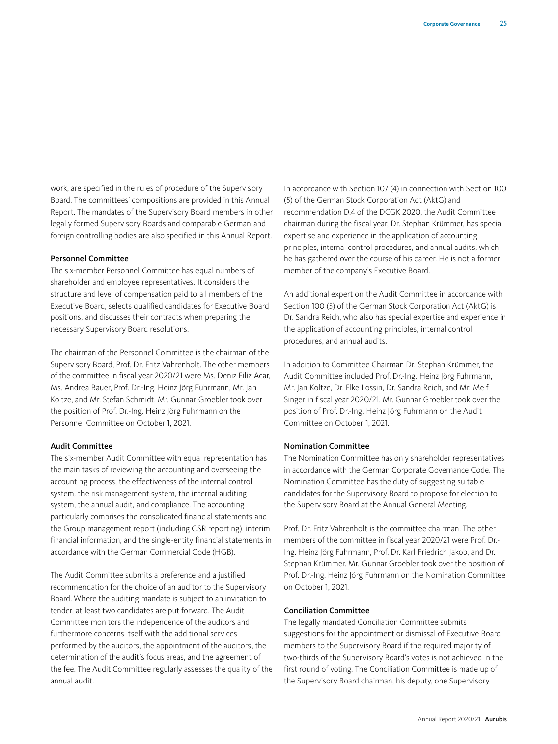work, are specified in the rules of procedure of the Supervisory Board. The committees' compositions are provided in this Annual Report. The mandates of the Supervisory Board members in other legally formed Supervisory Boards and comparable German and foreign controlling bodies are also specified in this Annual Report.

#### Personnel Committee

The six-member Personnel Committee has equal numbers of shareholder and employee representatives. It considers the structure and level of compensation paid to all members of the Executive Board, selects qualified candidates for Executive Board positions, and discusses their contracts when preparing the necessary Supervisory Board resolutions.

The chairman of the Personnel Committee is the chairman of the Supervisory Board, Prof. Dr. Fritz Vahrenholt. The other members of the committee in fiscal year 2020/21 were Ms. Deniz Filiz Acar, Ms. Andrea Bauer, Prof. Dr.-Ing. Heinz Jörg Fuhrmann, Mr. Jan Koltze, and Mr. Stefan Schmidt. Mr. Gunnar Groebler took over the position of Prof. Dr.-Ing. Heinz Jörg Fuhrmann on the Personnel Committee on October 1, 2021.

#### Audit Committee

The six-member Audit Committee with equal representation has the main tasks of reviewing the accounting and overseeing the accounting process, the effectiveness of the internal control system, the risk management system, the internal auditing system, the annual audit, and compliance. The accounting particularly comprises the consolidated financial statements and the Group management report (including CSR reporting), interim financial information, and the single-entity financial statements in accordance with the German Commercial Code (HGB).

The Audit Committee submits a preference and a justified recommendation for the choice of an auditor to the Supervisory Board. Where the auditing mandate is subject to an invitation to tender, at least two candidates are put forward. The Audit Committee monitors the independence of the auditors and furthermore concerns itself with the additional services performed by the auditors, the appointment of the auditors, the determination of the audit's focus areas, and the agreement of the fee. The Audit Committee regularly assesses the quality of the annual audit.

In accordance with Section 107 (4) in connection with Section 100 (5) of the German Stock Corporation Act (AktG) and recommendation D.4 of the DCGK 2020, the Audit Committee chairman during the fiscal year, Dr. Stephan Krümmer, has special expertise and experience in the application of accounting principles, internal control procedures, and annual audits, which he has gathered over the course of his career. He is not a former member of the company's Executive Board.

An additional expert on the Audit Committee in accordance with Section 100 (5) of the German Stock Corporation Act (AktG) is Dr. Sandra Reich, who also has special expertise and experience in the application of accounting principles, internal control procedures, and annual audits.

In addition to Committee Chairman Dr. Stephan Krümmer, the Audit Committee included Prof. Dr.-Ing. Heinz Jörg Fuhrmann, Mr. Jan Koltze, Dr. Elke Lossin, Dr. Sandra Reich, and Mr. Melf Singer in fiscal year 2020/21. Mr. Gunnar Groebler took over the position of Prof. Dr.-Ing. Heinz Jörg Fuhrmann on the Audit Committee on October 1, 2021.

#### Nomination Committee

The Nomination Committee has only shareholder representatives in accordance with the German Corporate Governance Code. The Nomination Committee has the duty of suggesting suitable candidates for the Supervisory Board to propose for election to the Supervisory Board at the Annual General Meeting.

Prof. Dr. Fritz Vahrenholt is the committee chairman. The other members of the committee in fiscal year 2020/21 were Prof. Dr.- Ing. Heinz Jörg Fuhrmann, Prof. Dr. Karl Friedrich Jakob, and Dr. Stephan Krümmer. Mr. Gunnar Groebler took over the position of Prof. Dr.-Ing. Heinz Jörg Fuhrmann on the Nomination Committee on October 1, 2021.

#### Conciliation Committee

The legally mandated Conciliation Committee submits suggestions for the appointment or dismissal of Executive Board members to the Supervisory Board if the required majority of two-thirds of the Supervisory Board's votes is not achieved in the first round of voting. The Conciliation Committee is made up of the Supervisory Board chairman, his deputy, one Supervisory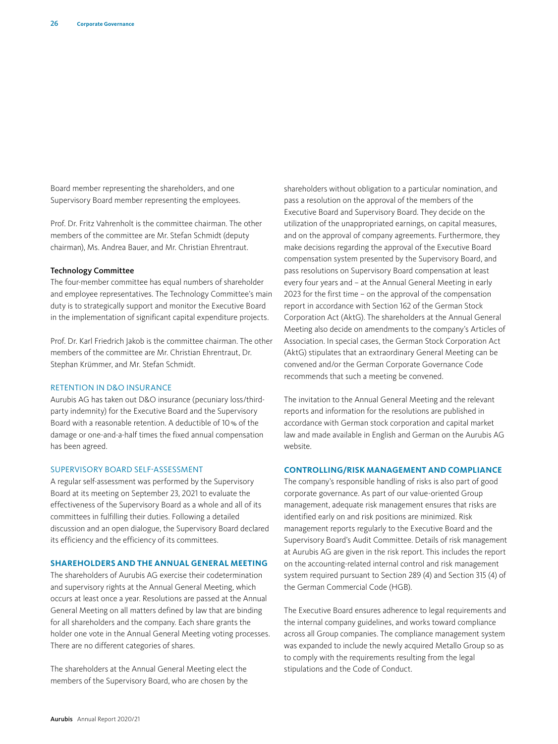Board member representing the shareholders, and one Supervisory Board member representing the employees.

Prof. Dr. Fritz Vahrenholt is the committee chairman. The other members of the committee are Mr. Stefan Schmidt (deputy chairman), Ms. Andrea Bauer, and Mr. Christian Ehrentraut.

#### Technology Committee

The four-member committee has equal numbers of shareholder and employee representatives. The Technology Committee's main duty is to strategically support and monitor the Executive Board in the implementation of significant capital expenditure projects.

Prof. Dr. Karl Friedrich Jakob is the committee chairman. The other members of the committee are Mr. Christian Ehrentraut, Dr. Stephan Krümmer, and Mr. Stefan Schmidt.

#### RETENTION IN D&O INSURANCE

Aurubis AG has taken out D&O insurance (pecuniary loss/thirdparty indemnity) for the Executive Board and the Supervisory Board with a reasonable retention. A deductible of 10% of the damage or one-and-a-half times the fixed annual compensation has been agreed.

#### SUPERVISORY BOARD SELF-ASSESSMENT

A regular self-assessment was performed by the Supervisory Board at its meeting on September 23, 2021 to evaluate the effectiveness of the Supervisory Board as a whole and all of its committees in fulfilling their duties. Following a detailed discussion and an open dialogue, the Supervisory Board declared its efficiency and the efficiency of its committees.

#### **SHAREHOLDERS AND THE ANNUAL GENERAL MEETING**

The shareholders of Aurubis AG exercise their codetermination and supervisory rights at the Annual General Meeting, which occurs at least once a year. Resolutions are passed at the Annual General Meeting on all matters defined by law that are binding for all shareholders and the company. Each share grants the holder one vote in the Annual General Meeting voting processes. There are no different categories of shares.

The shareholders at the Annual General Meeting elect the members of the Supervisory Board, who are chosen by the shareholders without obligation to a particular nomination, and pass a resolution on the approval of the members of the Executive Board and Supervisory Board. They decide on the utilization of the unappropriated earnings, on capital measures, and on the approval of company agreements. Furthermore, they make decisions regarding the approval of the Executive Board compensation system presented by the Supervisory Board, and pass resolutions on Supervisory Board compensation at least every four years and – at the Annual General Meeting in early 2023 for the first time – on the approval of the compensation report in accordance with Section 162 of the German Stock Corporation Act (AktG). The shareholders at the Annual General Meeting also decide on amendments to the company's Articles of Association. In special cases, the German Stock Corporation Act (AktG) stipulates that an extraordinary General Meeting can be convened and/or the German Corporate Governance Code recommends that such a meeting be convened.

The invitation to the Annual General Meeting and the relevant reports and information for the resolutions are published in accordance with German stock corporation and capital market law and made available in English and German on the Aurubis AG website.

#### **CONTROLLING/RISK MANAGEMENT AND COMPLIANCE**

The company's responsible handling of risks is also part of good corporate governance. As part of our value-oriented Group management, adequate risk management ensures that risks are identified early on and risk positions are minimized. Risk management reports regularly to the Executive Board and the Supervisory Board's Audit Committee. Details of risk management at Aurubis AG are given in the risk report. This includes the report on the accounting-related internal control and risk management system required pursuant to Section 289 (4) and Section 315 (4) of the German Commercial Code (HGB).

The Executive Board ensures adherence to legal requirements and the internal company guidelines, and works toward compliance across all Group companies. The compliance management system was expanded to include the newly acquired Metallo Group so as to comply with the requirements resulting from the legal stipulations and the Code of Conduct.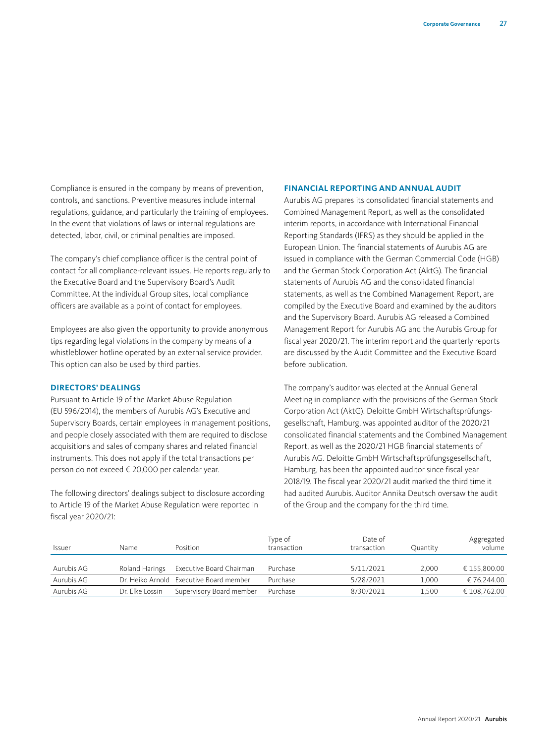Compliance is ensured in the company by means of prevention, controls, and sanctions. Preventive measures include internal regulations, guidance, and particularly the training of employees. In the event that violations of laws or internal regulations are detected, labor, civil, or criminal penalties are imposed.

The company's chief compliance officer is the central point of contact for all compliance-relevant issues. He reports regularly to the Executive Board and the Supervisory Board's Audit Committee. At the individual Group sites, local compliance officers are available as a point of contact for employees.

Employees are also given the opportunity to provide anonymous tips regarding legal violations in the company by means of a whistleblower hotline operated by an external service provider. This option can also be used by third parties.

#### **DIRECTORS' DEALINGS**

Pursuant to Article 19 of the Market Abuse Regulation (EU 596/2014), the members of Aurubis AG's Executive and Supervisory Boards, certain employees in management positions, and people closely associated with them are required to disclose acquisitions and sales of company shares and related financial instruments. This does not apply if the total transactions per person do not exceed € 20,000 per calendar year.

The following directors' dealings subject to disclosure according to Article 19 of the Market Abuse Regulation were reported in fiscal year 2020/21:

#### **FINANCIAL REPORTING AND ANNUAL AUDIT**

Aurubis AG prepares its consolidated financial statements and Combined Management Report, as well as the consolidated interim reports, in accordance with International Financial Reporting Standards (IFRS) as they should be applied in the European Union. The financial statements of Aurubis AG are issued in compliance with the German Commercial Code (HGB) and the German Stock Corporation Act (AktG). The financial statements of Aurubis AG and the consolidated financial statements, as well as the Combined Management Report, are compiled by the Executive Board and examined by the auditors and the Supervisory Board. Aurubis AG released a Combined Management Report for Aurubis AG and the Aurubis Group for fiscal year 2020/21. The interim report and the quarterly reports are discussed by the Audit Committee and the Executive Board before publication.

The company's auditor was elected at the Annual General Meeting in compliance with the provisions of the German Stock Corporation Act (AktG). Deloitte GmbH Wirtschaftsprüfungsgesellschaft, Hamburg, was appointed auditor of the 2020/21 consolidated financial statements and the Combined Management Report, as well as the 2020/21 HGB financial statements of Aurubis AG. Deloitte GmbH Wirtschaftsprüfungsgesellschaft, Hamburg, has been the appointed auditor since fiscal year 2018/19. The fiscal year 2020/21 audit marked the third time it had audited Aurubis. Auditor Annika Deutsch oversaw the audit of the Group and the company for the third time.

| <b>Issuer</b> | Name            | Position                                | Type of<br>transaction | Date of<br>transaction | Quantity | Aggregated<br>volume |
|---------------|-----------------|-----------------------------------------|------------------------|------------------------|----------|----------------------|
| Aurubis AG    | Roland Harings  | Executive Board Chairman                | Purchase               | 5/11/2021              | 2.000    | € 155.800.00         |
| Aurubis AG    |                 | Dr. Heiko Arnold Executive Board member | Purchase               | 5/28/2021              | 1.000    | € 76.244.00          |
| Aurubis AG    | Dr. Elke Lossin | Supervisory Board member                | Purchase               | 8/30/2021              | 1.500    | € 108.762.00         |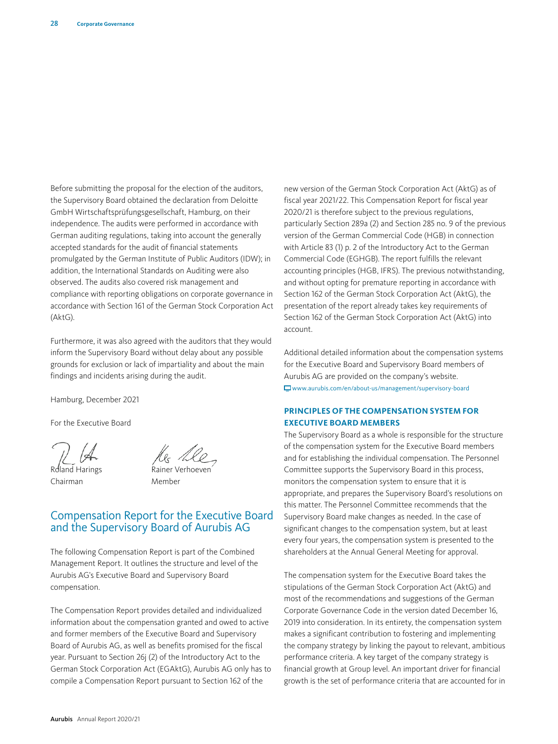Before submitting the proposal for the election of the auditors, the Supervisory Board obtained the declaration from Deloitte GmbH Wirtschaftsprüfungsgesellschaft, Hamburg, on their independence. The audits were performed in accordance with German auditing regulations, taking into account the generally accepted standards for the audit of financial statements promulgated by the German Institute of Public Auditors (IDW); in addition, the International Standards on Auditing were also observed. The audits also covered risk management and compliance with reporting obligations on corporate governance in accordance with Section 161 of the German Stock Corporation Act (AktG).

Furthermore, it was also agreed with the auditors that they would inform the Supervisory Board without delay about any possible grounds for exclusion or lack of impartiality and about the main findings and incidents arising during the audit.

Hamburg, December 2021

For the Executive Board

Roland Harings Chairman

Rainer Verhoeven

Member

# Compensation Report for the Executive Board and the Supervisory Board of Aurubis AG

The following Compensation Report is part of the Combined Management Report. It outlines the structure and level of the Aurubis AG's Executive Board and Supervisory Board compensation.

The Compensation Report provides detailed and individualized information about the compensation granted and owed to active and former members of the Executive Board and Supervisory Board of Aurubis AG, as well as benefits promised for the fiscal year. Pursuant to Section 26j (2) of the Introductory Act to the German Stock Corporation Act (EGAktG), Aurubis AG only has to compile a Compensation Report pursuant to Section 162 of the

new version of the German Stock Corporation Act (AktG) as of fiscal year 2021/22. This Compensation Report for fiscal year 2020/21 is therefore subject to the previous regulations, particularly Section 289a (2) and Section 285 no. 9 of the previous version of the German Commercial Code (HGB) in connection with Article 83 (1) p. 2 of the Introductory Act to the German Commercial Code (EGHGB). The report fulfills the relevant accounting principles (HGB, IFRS). The previous notwithstanding, and without opting for premature reporting in accordance with Section 162 of the German Stock Corporation Act (AktG), the presentation of the report already takes key requirements of Section 162 of the German Stock Corporation Act (AktG) into account.

Additional detailed information about the compensation systems for the Executive Board and Supervisory Board members of Aurubis AG are provided on the company's website. [www.aurubis.com/en/about-us/management/supervisory-board](https://www.aurubis.com/en/about-us/management/supervisory-board)

#### **PRINCIPLES OF THE COMPENSATION SYSTEM FOR EXECUTIVE BOARD MEMBERS**

The Supervisory Board as a whole is responsible for the structure of the compensation system for the Executive Board members and for establishing the individual compensation. The Personnel Committee supports the Supervisory Board in this process, monitors the compensation system to ensure that it is appropriate, and prepares the Supervisory Board's resolutions on this matter. The Personnel Committee recommends that the Supervisory Board make changes as needed. In the case of significant changes to the compensation system, but at least every four years, the compensation system is presented to the shareholders at the Annual General Meeting for approval.

The compensation system for the Executive Board takes the stipulations of the German Stock Corporation Act (AktG) and most of the recommendations and suggestions of the German Corporate Governance Code in the version dated December 16, 2019 into consideration. In its entirety, the compensation system makes a significant contribution to fostering and implementing the company strategy by linking the payout to relevant, ambitious performance criteria. A key target of the company strategy is financial growth at Group level. An important driver for financial growth is the set of performance criteria that are accounted for in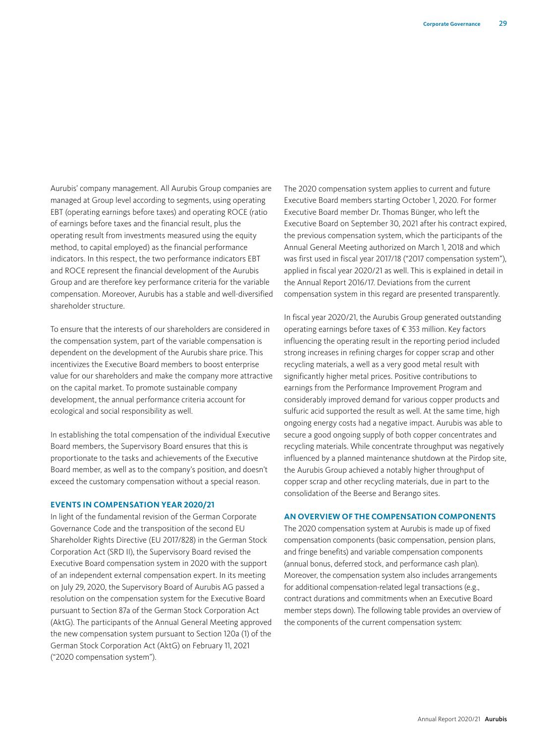Aurubis' company management. All Aurubis Group companies are managed at Group level according to segments, using operating EBT (operating earnings before taxes) and operating ROCE (ratio of earnings before taxes and the financial result, plus the operating result from investments measured using the equity method, to capital employed) as the financial performance indicators. In this respect, the two performance indicators EBT and ROCE represent the financial development of the Aurubis Group and are therefore key performance criteria for the variable compensation. Moreover, Aurubis has a stable and well-diversified shareholder structure.

To ensure that the interests of our shareholders are considered in the compensation system, part of the variable compensation is dependent on the development of the Aurubis share price. This incentivizes the Executive Board members to boost enterprise value for our shareholders and make the company more attractive on the capital market. To promote sustainable company development, the annual performance criteria account for ecological and social responsibility as well.

In establishing the total compensation of the individual Executive Board members, the Supervisory Board ensures that this is proportionate to the tasks and achievements of the Executive Board member, as well as to the company's position, and doesn't exceed the customary compensation without a special reason.

#### **EVENTS IN COMPENSATION YEAR 2020/21**

In light of the fundamental revision of the German Corporate Governance Code and the transposition of the second EU Shareholder Rights Directive (EU 2017/828) in the German Stock Corporation Act (SRD II), the Supervisory Board revised the Executive Board compensation system in 2020 with the support of an independent external compensation expert. In its meeting on July 29, 2020, the Supervisory Board of Aurubis AG passed a resolution on the compensation system for the Executive Board pursuant to Section 87a of the German Stock Corporation Act (AktG). The participants of the Annual General Meeting approved the new compensation system pursuant to Section 120a (1) of the German Stock Corporation Act (AktG) on February 11, 2021 ("2020 compensation system").

The 2020 compensation system applies to current and future Executive Board members starting October 1, 2020. For former Executive Board member Dr. Thomas Bünger, who left the Executive Board on September 30, 2021 after his contract expired, the previous compensation system, which the participants of the Annual General Meeting authorized on March 1, 2018 and which was first used in fiscal year 2017/18 ("2017 compensation system"), applied in fiscal year 2020/21 as well. This is explained in detail in the Annual Report 2016/17. Deviations from the current compensation system in this regard are presented transparently.

In fiscal year 2020/21, the Aurubis Group generated outstanding operating earnings before taxes of € 353 million. Key factors influencing the operating result in the reporting period included strong increases in refining charges for copper scrap and other recycling materials, a well as a very good metal result with significantly higher metal prices. Positive contributions to earnings from the Performance Improvement Program and considerably improved demand for various copper products and sulfuric acid supported the result as well. At the same time, high ongoing energy costs had a negative impact. Aurubis was able to secure a good ongoing supply of both copper concentrates and recycling materials. While concentrate throughput was negatively influenced by a planned maintenance shutdown at the Pirdop site, the Aurubis Group achieved a notably higher throughput of copper scrap and other recycling materials, due in part to the consolidation of the Beerse and Berango sites.

#### **AN OVERVIEW OF THE COMPENSATION COMPONENTS**

The 2020 compensation system at Aurubis is made up of fixed compensation components (basic compensation, pension plans, and fringe benefits) and variable compensation components (annual bonus, deferred stock, and performance cash plan). Moreover, the compensation system also includes arrangements for additional compensation-related legal transactions (e.g., contract durations and commitments when an Executive Board member steps down). The following table provides an overview of the components of the current compensation system: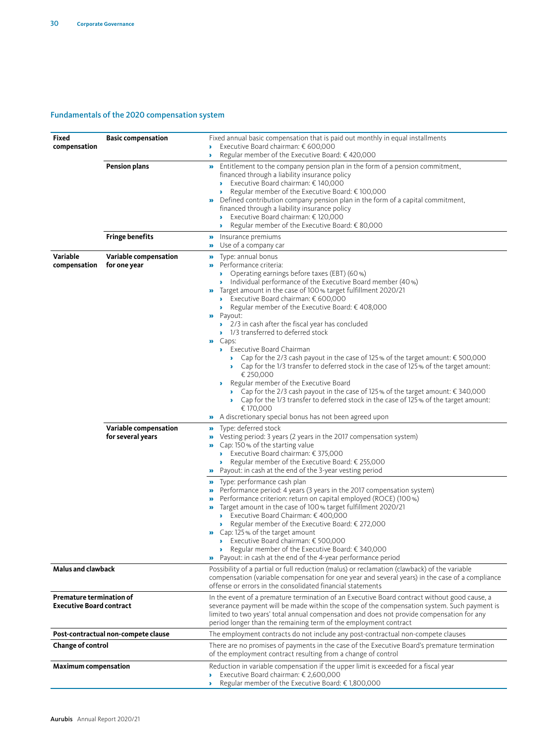#### Fundamentals of the 2020 compensation system

| <b>Fixed</b><br>compensation                                       | <b>Basic compensation</b>                  | Fixed annual basic compensation that is paid out monthly in equal installments<br>Executive Board chairman: € 600,000<br>Regular member of the Executive Board: € 420,000                                                                                                                                                                                                                                                                                                                                                                                                                                                                                                                                                                                                                                                                                                                                                                                                                                                             |
|--------------------------------------------------------------------|--------------------------------------------|---------------------------------------------------------------------------------------------------------------------------------------------------------------------------------------------------------------------------------------------------------------------------------------------------------------------------------------------------------------------------------------------------------------------------------------------------------------------------------------------------------------------------------------------------------------------------------------------------------------------------------------------------------------------------------------------------------------------------------------------------------------------------------------------------------------------------------------------------------------------------------------------------------------------------------------------------------------------------------------------------------------------------------------|
|                                                                    | <b>Pension plans</b>                       | Entitlement to the company pension plan in the form of a pension commitment,<br>$\mathbf{p}$<br>financed through a liability insurance policy<br>Executive Board chairman: € 140,000<br>¥.<br>Regular member of the Executive Board: € 100,000<br>×.<br>Defined contribution company pension plan in the form of a capital commitment,<br>y,<br>financed through a liability insurance policy<br>Executive Board chairman: € 120,000<br>×.<br>Regular member of the Executive Board: € 80,000<br>×.                                                                                                                                                                                                                                                                                                                                                                                                                                                                                                                                   |
|                                                                    | <b>Fringe benefits</b>                     | Insurance premiums<br>»<br>Use of a company car<br>$\mathbf{p}$                                                                                                                                                                                                                                                                                                                                                                                                                                                                                                                                                                                                                                                                                                                                                                                                                                                                                                                                                                       |
| Variable<br>compensation                                           | Variable compensation<br>for one year      | Type: annual bonus<br>$\mathbf{p}$<br>Performance criteria:<br>• Operating earnings before taxes (EBT) (60%)<br>Individual performance of the Executive Board member (40 %)<br>Target amount in the case of 100% target fulfillment 2020/21<br>y,<br>Executive Board chairman: $\epsilon$ 600,000<br>Regular member of the Executive Board: € 408,000<br>У.<br><b>»</b> Payout:<br>2/3 in cash after the fiscal year has concluded<br>1/3 transferred to deferred stock<br>Caps:<br>y,<br>Executive Board Chairman<br>• Cap for the 2/3 cash payout in the case of 125% of the target amount: $\epsilon$ 500,000<br>• Cap for the 1/3 transfer to deferred stock in the case of 125% of the target amount:<br>€ 250,000<br>Regular member of the Executive Board<br>У.<br>• Cap for the 2/3 cash payout in the case of 125% of the target amount: $\epsilon$ 340,000<br>• Cap for the 1/3 transfer to deferred stock in the case of 125% of the target amount:<br>€ 170,000<br>A discretionary special bonus has not been agreed upon |
|                                                                    | Variable compensation<br>for several years | Type: deferred stock<br>$\mathbf{p}$<br>Vesting period: 3 years (2 years in the 2017 compensation system)<br>»<br>Cap: 150 % of the starting value<br>Executive Board chairman: $\epsilon$ 375,000<br>Regular member of the Executive Board: $\epsilon$ 255,000<br>Payout: in cash at the end of the 3-year vesting period<br>$\mathbf{p}$                                                                                                                                                                                                                                                                                                                                                                                                                                                                                                                                                                                                                                                                                            |
|                                                                    |                                            | Type: performance cash plan<br>$\mathbf{p}$<br>Performance period: 4 years (3 years in the 2017 compensation system)<br>$\mathbf{p}$<br>Performance criterion: return on capital employed (ROCE) (100 %)<br>»<br>$\bullet$ Target amount in the case of 100% target fulfillment 2020/21<br>Executive Board Chairman: $\epsilon$ 400,000<br>Regular member of the Executive Board: € 272,000<br>$\mathbf{r}$<br>Cap: 125% of the target amount<br>Executive Board chairman: $\epsilon$ 500,000<br>Regular member of the Executive Board: $\epsilon$ 340,000<br>,<br>Payout: in cash at the end of the 4-year performance period                                                                                                                                                                                                                                                                                                                                                                                                        |
| <b>Malus and clawback</b>                                          |                                            | Possibility of a partial or full reduction (malus) or reclamation (clawback) of the variable<br>compensation (variable compensation for one year and several years) in the case of a compliance<br>offense or errors in the consolidated financial statements                                                                                                                                                                                                                                                                                                                                                                                                                                                                                                                                                                                                                                                                                                                                                                         |
| <b>Premature termination of</b><br><b>Executive Board contract</b> |                                            | In the event of a premature termination of an Executive Board contract without good cause, a<br>severance payment will be made within the scope of the compensation system. Such payment is<br>limited to two years' total annual compensation and does not provide compensation for any<br>period longer than the remaining term of the employment contract                                                                                                                                                                                                                                                                                                                                                                                                                                                                                                                                                                                                                                                                          |
|                                                                    | Post-contractual non-compete clause        | The employment contracts do not include any post-contractual non-compete clauses                                                                                                                                                                                                                                                                                                                                                                                                                                                                                                                                                                                                                                                                                                                                                                                                                                                                                                                                                      |
| Change of control                                                  |                                            | There are no promises of payments in the case of the Executive Board's premature termination<br>of the employment contract resulting from a change of control                                                                                                                                                                                                                                                                                                                                                                                                                                                                                                                                                                                                                                                                                                                                                                                                                                                                         |
| <b>Maximum compensation</b>                                        |                                            | Reduction in variable compensation if the upper limit is exceeded for a fiscal year<br>Executive Board chairman: € 2,600,000<br>Þ.<br>Regular member of the Executive Board: € 1,800,000                                                                                                                                                                                                                                                                                                                                                                                                                                                                                                                                                                                                                                                                                                                                                                                                                                              |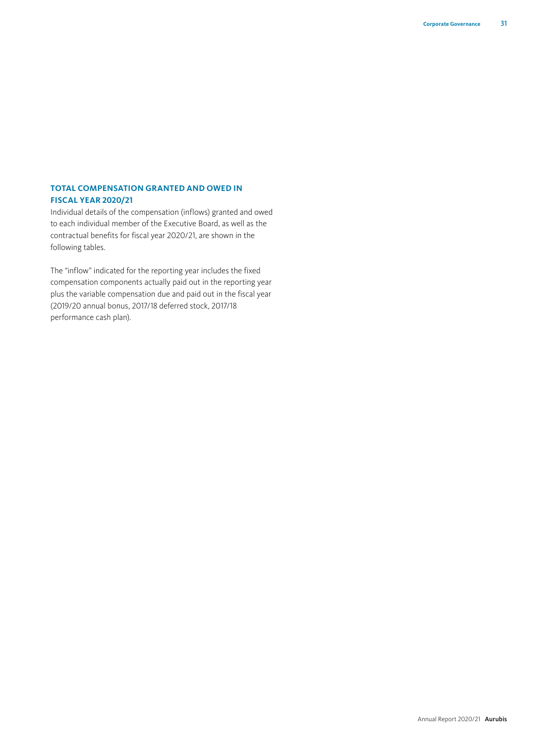# **TOTAL COMPENSATION GRANTED AND OWED IN FISCAL YEAR 2020/21**

Individual details of the compensation (inflows) granted and owed to each individual member of the Executive Board, as well as the contractual benefits for fiscal year 2020/21, are shown in the following tables.

The "inflow" indicated for the reporting year includes the fixed compensation components actually paid out in the reporting year plus the variable compensation due and paid out in the fiscal year (2019/20 annual bonus, 2017/18 deferred stock, 2017/18 performance cash plan).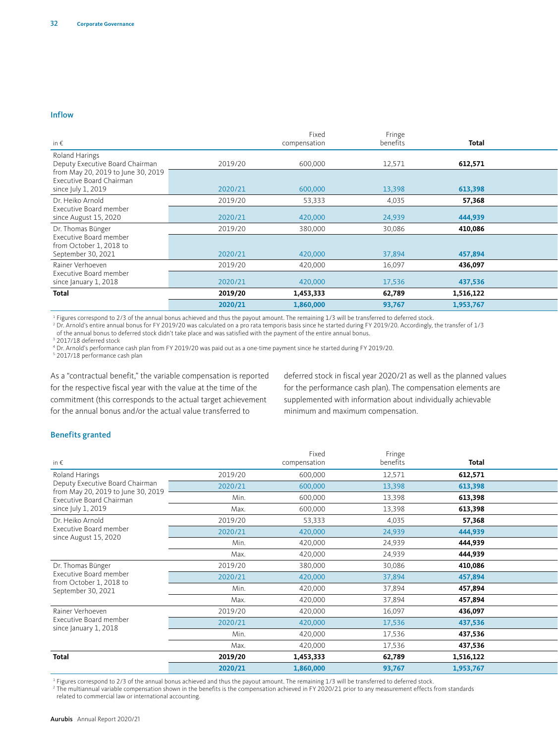# $\blacksquare$

| in $\epsilon$                                                                        |         | Fixed<br>compensation | Fringe<br>benefits | Total     |  |
|--------------------------------------------------------------------------------------|---------|-----------------------|--------------------|-----------|--|
| Roland Harings<br>Deputy Executive Board Chairman                                    | 2019/20 | 600,000               | 12,571             | 612,571   |  |
| from May 20, 2019 to June 30, 2019<br>Executive Board Chairman<br>since July 1, 2019 | 2020/21 | 600,000               | 13,398             | 613,398   |  |
| Dr. Heiko Arnold                                                                     | 2019/20 | 53,333                | 4,035              | 57,368    |  |
| Executive Board member<br>since August 15, 2020                                      | 2020/21 | 420,000               | 24,939             | 444,939   |  |
| Dr. Thomas Bünger                                                                    | 2019/20 | 380,000               | 30,086             | 410,086   |  |
| Executive Board member<br>from October 1, 2018 to<br>September 30, 2021              | 2020/21 | 420,000               | 37,894             | 457,894   |  |
| Rainer Verhoeven                                                                     | 2019/20 | 420,000               | 16,097             | 436,097   |  |
| Executive Board member<br>since January 1, 2018                                      | 2020/21 | 420,000               | 17,536             | 437,536   |  |
| <b>Total</b>                                                                         | 2019/20 | 1,453,333             | 62,789             | 1,516,122 |  |
|                                                                                      | 2020/21 | 1,860,000             | 93,767             | 1,953,767 |  |

1 Figures correspond to 2/3 of the annual bonus achieved and thus the payout amount. The remaining 1/3 will be transferred to deferred stock.

<sup>2</sup> Dr. Arnold's entire annual bonus for FY 2019/20 was calculated on a pro rata temporis basis since he started during FY 2019/20. Accordingly, the transfer of 1/3<br>of the annual bonus to deferred stock didn't take place a

<sup>3</sup> 2017/18 deferred stock

<sup>4</sup> Dr. Arnold's performance cash plan from FY 2019/20 was paid out as a one-time payment since he started during FY 2019/20.<br><sup>5</sup> 2017/18 performance cash plan

As a "contractual benefit," the variable compensation is reported for the respective fiscal year with the value at the time of the commitment (this corresponds to the actual target achievement for the annual bonus and/or the actual value transferred to

deferred stock in fiscal year 2020/21 as well as the planned values for the performance cash plan). The compensation elements are supplemented with information about individually achievable minimum and maximum compensation.

# $\mathsf{Benefits\,granted}$

| in€                                                                   |         | Fixed<br>compensation | Fringe<br>benefits | <b>Total</b> |  |
|-----------------------------------------------------------------------|---------|-----------------------|--------------------|--------------|--|
| Roland Harings                                                        | 2019/20 | 600,000               | 12,571             | 612,571      |  |
| Deputy Executive Board Chairman<br>from May 20, 2019 to June 30, 2019 | 2020/21 | 600,000               | 13,398             | 613,398      |  |
| Executive Board Chairman                                              | Min.    | 600,000               | 13,398             | 613,398      |  |
| since July 1, 2019                                                    | Max.    | 600,000               | 13,398             | 613,398      |  |
| Dr. Heiko Arnold                                                      | 2019/20 | 53,333                | 4,035              | 57,368       |  |
| Executive Board member                                                | 2020/21 | 420,000               | 24,939             | 444,939      |  |
| since August 15, 2020                                                 | Min.    | 420,000               | 24,939             | 444,939      |  |
|                                                                       | Max.    | 420,000               | 24,939             | 444,939      |  |
| Dr. Thomas Bünger                                                     | 2019/20 | 380,000               | 30,086             | 410,086      |  |
| Executive Board member<br>from October 1, 2018 to                     | 2020/21 | 420,000               | 37,894             | 457,894      |  |
| September 30, 2021                                                    | Min.    | 420,000               | 37,894             | 457,894      |  |
|                                                                       | Max.    | 420,000               | 37,894             | 457,894      |  |
| Rainer Verhoeven                                                      | 2019/20 | 420,000               | 16,097             | 436,097      |  |
| Executive Board member<br>since January 1, 2018                       | 2020/21 | 420,000               | 17,536             | 437,536      |  |
|                                                                       | Min.    | 420,000               | 17,536             | 437,536      |  |
|                                                                       | Max.    | 420,000               | 17,536             | 437,536      |  |
| <b>Total</b>                                                          | 2019/20 | 1,453,333             | 62,789             | 1,516,122    |  |
|                                                                       | 2020/21 | 1,860,000             | 93,767             | 1,953,767    |  |

<sup>1</sup> Figures correspond to 2/3 of the annual bonus achieved and thus the payout amount. The remaining 1/3 will be transferred to deferred stock.

<sup>2</sup> The multiannual variable compensation shown in the benefits is the compensation achieved in FY 2020/21 prior to any measurement effects from standards related to commercial law or international accounting.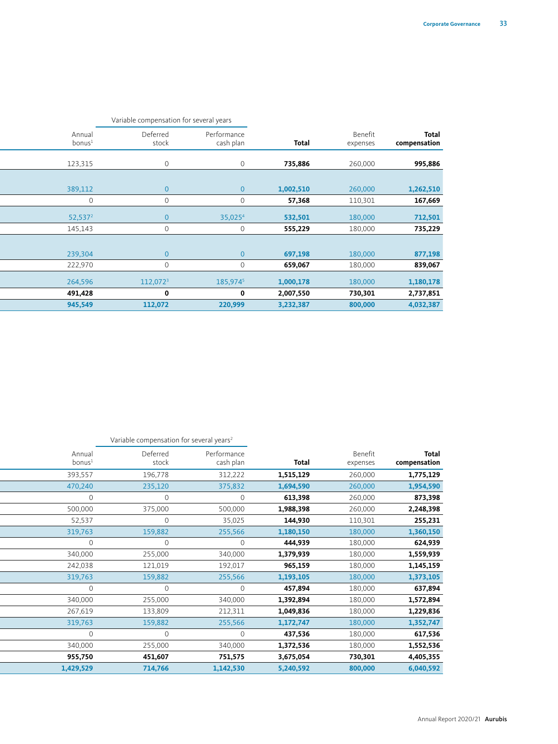|                       |                              |           |                          | Variable compensation for several years |                              |
|-----------------------|------------------------------|-----------|--------------------------|-----------------------------------------|------------------------------|
| Total<br>compensation | Benefit<br>Total<br>expenses |           | Performance<br>cash plan | Deferred<br>stock                       | Annual<br>bonus <sup>1</sup> |
| 995,886               | 260,000                      | 735,886   | $\overline{0}$           |                                         | 123,315                      |
| 1,262,510             | 260,000                      | 1,002,510 | $\overline{0}$           |                                         | 389,112                      |
| 167,669               | 110,301                      | 57,368    | $\Omega$                 |                                         | $\overline{0}$               |
| 712,501               | 180,000                      | 532,501   | 35,025 <sup>4</sup>      |                                         | 52,537 <sup>2</sup>          |
| 735,229               | 180,000                      | 555,229   | $\Omega$                 |                                         | 145,143                      |
|                       |                              |           |                          |                                         |                              |
| 877,198               | 180,000                      | 697,198   | $\Omega$                 |                                         | 239,304                      |
| 839,067               | 180,000                      | 659,067   | $\Omega$                 |                                         | 222,970                      |
| 1,180,178             | 180,000                      | 1,000,178 | 185,9745                 | 112,072 <sup>3</sup>                    | 264,596                      |
| 2,737,851             | 730,301                      | 2,007,550 | $\mathbf{0}$             |                                         | 491,428                      |
| 4,032,387             | 800,000                      | 3,232,387 | 220,999                  | 112,072                                 | 945,549                      |

|                       |                     |           |                          | Variable compensation for several years <sup>2</sup> |                              |
|-----------------------|---------------------|-----------|--------------------------|------------------------------------------------------|------------------------------|
| Total<br>compensation | Benefit<br>expenses | Total     | Performance<br>cash plan | Deferred<br>stock                                    | Annual<br>bonus <sup>1</sup> |
| 1,775,129             | 260,000             | 1,515,129 | 312,222                  | 196,778                                              | 393,557                      |
| 1,954,590             | 260,000             | 1,694,590 | 375,832                  | 235,120                                              | 470,240                      |
| 873,398               | 260,000             | 613,398   | $\overline{0}$           | $\Omega$                                             |                              |
| 2,248,398             | 260,000             | 1,988,398 | 500,000                  | 375,000                                              | 500,000                      |
| 255,231               | 110,301             | 144,930   | 35,025                   | $\Omega$                                             | 52,537                       |
| 1,360,150             | 180,000             | 1,180,150 | 255,566                  | 159,882                                              | 319,763                      |
| 624,939               | 180,000             | 444,939   | $\circ$                  | $\Omega$                                             | $\cap$                       |
| 1,559,939             | 180,000             | 1,379,939 | 340,000                  | 255,000                                              | 340,000                      |
| 1,145,159             | 180,000             | 965,159   | 192,017                  | 121,019                                              | 242,038                      |
| 1,373,105             | 180,000             | 1,193,105 | 255,566                  | 159,882                                              | 319,763                      |
| 637,894               | 180,000             | 457,894   | $\overline{0}$           | $\Omega$                                             | $\cap$                       |
| 1,572,894             | 180,000             | 1,392,894 | 340,000                  | 255,000                                              | 340,000                      |
| 1,229,836             | 180,000             | 1,049,836 | 212,311                  | 133,809                                              | 267,619                      |
| 1,352,747             | 180,000             | 1,172,747 | 255,566                  | 159,882                                              | 319,763                      |
| 617,536               | 180,000             | 437,536   | $\circ$                  | $\Omega$                                             |                              |
| 1,552,536             | 180,000             | 1,372,536 | 340,000                  | 255,000                                              | 340,000                      |
| 4,405,355             | 730,301             | 3,675,054 | 751,575                  | 451,607                                              | 955,750                      |
| 6,040,592             | 800,000             | 5,240,592 | 1,142,530                | 714,766                                              | 1,429,529                    |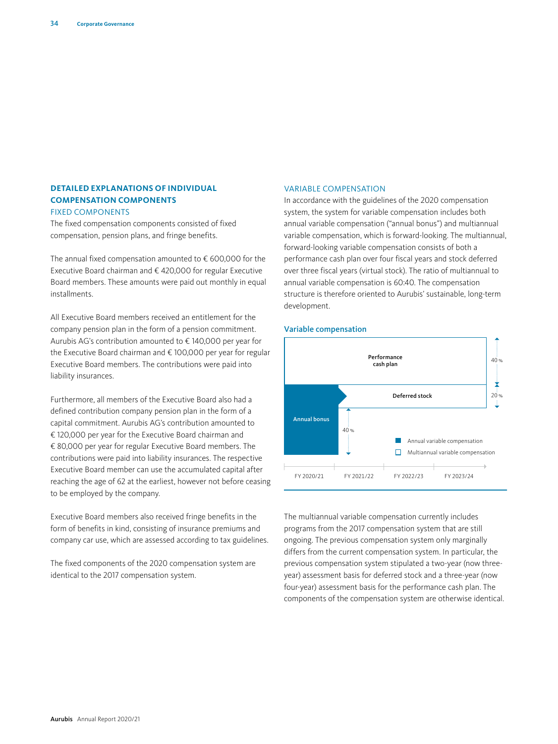#### **DETAILED EXPLANATIONS OF INDIVIDUAL COMPENSATION COMPONENTS** FIXED COMPONENTS

The fixed compensation components consisted of fixed compensation, pension plans, and fringe benefits.

The annual fixed compensation amounted to  $\epsilon$  600,000 for the Executive Board chairman and € 420,000 for regular Executive Board members. These amounts were paid out monthly in equal installments.

All Executive Board members received an entitlement for the company pension plan in the form of a pension commitment. Aurubis AG's contribution amounted to € 140,000 per year for the Executive Board chairman and € 100,000 per year for regular Executive Board members. The contributions were paid into liability insurances.

Furthermore, all members of the Executive Board also had a defined contribution company pension plan in the form of a capital commitment. Aurubis AG's contribution amounted to € 120,000 per year for the Executive Board chairman and € 80,000 per year for regular Executive Board members. The contributions were paid into liability insurances. The respective Executive Board member can use the accumulated capital after reaching the age of 62 at the earliest, however not before ceasing to be employed by the company.

Executive Board members also received fringe benefits in the form of benefits in kind, consisting of insurance premiums and company car use, which are assessed according to tax guidelines.

The fixed components of the 2020 compensation system are identical to the 2017 compensation system.

#### VARIABLE COMPENSATION

In accordance with the guidelines of the 2020 compensation system, the system for variable compensation includes both annual variable compensation ("annual bonus") and multiannual variable compensation, which is forward-looking. The multiannual, forward-looking variable compensation consists of both a performance cash plan over four fiscal years and stock deferred over three fiscal years (virtual stock). The ratio of multiannual to annual variable compensation is 60:40. The compensation structure is therefore oriented to Aurubis' sustainable, long-term development.

# Variable compensation Variable compensation



The multiannual variable compensation currently includes programs from the 2017 compensation system that are still ongoing. The previous compensation system only marginally differs from the current compensation system. In particular, the previous compensation system stipulated a two-year (now threeyear) assessment basis for deferred stock and a three-year (now four-year) assessment basis for the performance cash plan. The components of the compensation system are otherwise identical.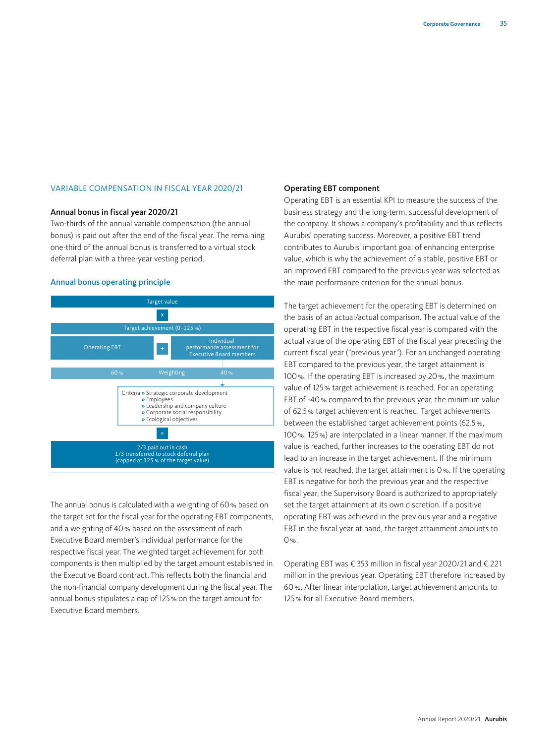#### VARIABLE COMPENSATION IN FISCAL YEAR 2020/21

#### Annual bonus in fiscal year 2020/21

Two-thirds of the annual variable compensation (the annual bonus) is paid out after the end of the fiscal year. The remaining one-third of the annual bonus is transferred to a virtual stock deferral plan with a three-year vesting period.

#### Annual bonus operating principle Annual bonus operating principle



The annual bonus is calculated with a weighting of 60% based on the target set for the fiscal year for the operating EBT components, and a weighting of 40% based on the assessment of each Executive Board member's individual performance for the respective fiscal year. The weighted target achievement for both components is then multiplied by the target amount established in the Executive Board contract. This reflects both the financial and the non-financial company development during the fiscal year. The annual bonus stipulates a cap of 125% on the target amount for Executive Board members.

#### Operating EBT component

Operating EBT is an essential KPI to measure the success of the business strategy and the long-term, successful development of the company. It shows a company's profitability and thus reflects Aurubis' operating success. Moreover, a positive EBT trend contributes to Aurubis' important goal of enhancing enterprise value, which is why the achievement of a stable, positive EBT or an improved EBT compared to the previous year was selected as the main performance criterion for the annual bonus.

The target achievement for the operating EBT is determined on the basis of an actual/actual comparison. The actual value of the operating EBT in the respective fiscal year is compared with the actual value of the operating EBT of the fiscal year preceding the current fiscal year ("previous year"). For an unchanged operating EBT compared to the previous year, the target attainment is 100%. If the operating EBT is increased by 20%, the maximum value of 125% target achievement is reached. For an operating EBT of -40% compared to the previous year, the minimum value of 62.5% target achievement is reached. Target achievements between the established target achievement points (62.5%, 100%, 125%) are interpolated in a linear manner. If the maximum value is reached, further increases to the operating EBT do not lead to an increase in the target achievement. If the minimum value is not reached, the target attainment is 0%. If the operating EBT is negative for both the previous year and the respective fiscal year, the Supervisory Board is authorized to appropriately set the target attainment at its own discretion. If a positive operating EBT was achieved in the previous year and a negative EBT in the fiscal year at hand, the target attainment amounts to 0%.

Operating EBT was € 353 million in fiscal year 2020/21 and € 221 million in the previous year. Operating EBT therefore increased by 60%. After linear interpolation, target achievement amounts to 125% for all Executive Board members.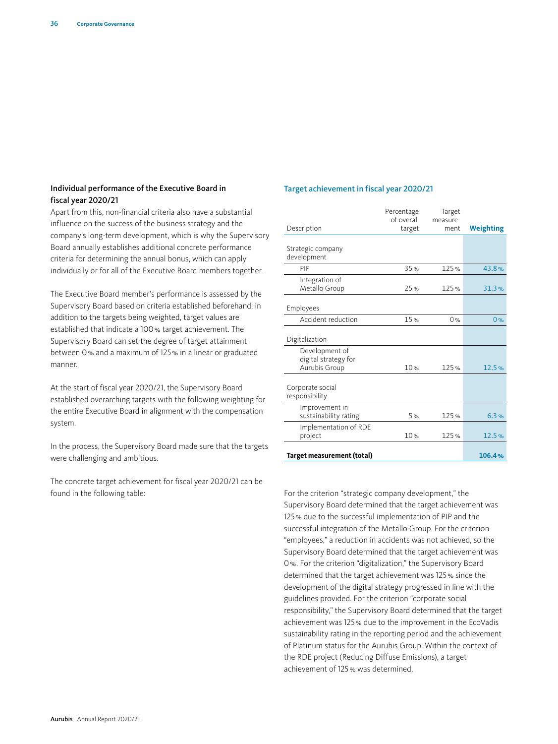#### Individual performance of the Executive Board in fiscal year 2020/21

Apart from this, non-financial criteria also have a substantial influence on the success of the business strategy and the company's long-term development, which is why the Supervisory Board annually establishes additional concrete performance criteria for determining the annual bonus, which can apply individually or for all of the Executive Board members together.

The Executive Board member's performance is assessed by the Supervisory Board based on criteria established beforehand: in addition to the targets being weighted, target values are established that indicate a 100% target achievement. The Supervisory Board can set the degree of target attainment between 0% and a maximum of 125% in a linear or graduated manner.

At the start of fiscal year 2020/21, the Supervisory Board established overarching targets with the following weighting for the entire Executive Board in alignment with the compensation system.

In the process, the Supervisory Board made sure that the targets were challenging and ambitious.

The concrete target achievement for fiscal year 2020/21 can be found in the following table:

#### Target achievement in fiscal year 2020/21

|                                                         | Percentage<br>of overall | Target<br>measure- |           |
|---------------------------------------------------------|--------------------------|--------------------|-----------|
| Description                                             | target                   | ment               | Weighting |
| Strategic company<br>development                        |                          |                    |           |
| PIP                                                     | 35%                      | 125%               | 43.8%     |
| Integration of<br>Metallo Group                         | 25%                      | 125%               | 31.3%     |
| Employees                                               |                          |                    |           |
| Accident reduction                                      | 15%                      | 0%                 | 0%        |
| Digitalization                                          |                          |                    |           |
| Development of<br>digital strategy for<br>Aurubis Group | 10%                      | 125%               | 12.5%     |
| Corporate social<br>responsibility                      |                          |                    |           |
| Improvement in<br>sustainability rating                 | 5 %                      | 125%               | 6.3%      |
| Implementation of RDE<br>project                        | 10%                      | 125%               | 12.5%     |
| Target measurement (total)                              |                          |                    | 106.4%    |

For the criterion "strategic company development," the Supervisory Board determined that the target achievement was 125% due to the successful implementation of PIP and the successful integration of the Metallo Group. For the criterion "employees," a reduction in accidents was not achieved, so the Supervisory Board determined that the target achievement was 0%. For the criterion "digitalization," the Supervisory Board determined that the target achievement was 125% since the development of the digital strategy progressed in line with the guidelines provided. For the criterion "corporate social responsibility," the Supervisory Board determined that the target achievement was 125% due to the improvement in the EcoVadis sustainability rating in the reporting period and the achievement of Platinum status for the Aurubis Group. Within the context of the RDE project (Reducing Diffuse Emissions), a target achievement of 125% was determined.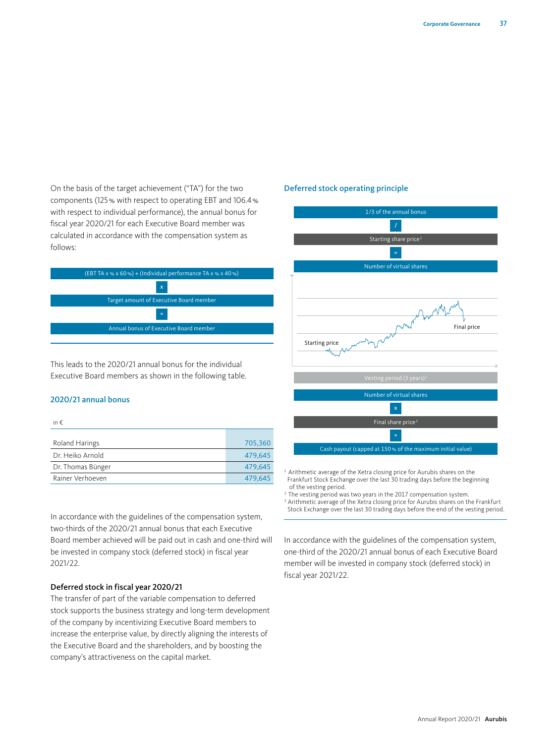On the basis of the target achievement ("TA") for the two components (125% with respect to operating EBT and 106.4% with respect to individual performance), the annual bonus for fiscal year 2020/21 for each Executive Board member was calculated in accordance with the compensation system as follows:



This leads to the 2020/21 annual bonus for the individual Executive Board members as shown in the following table.

#### 2020/21 annual bonus

in €

| Roland Harings    | 705.360 |
|-------------------|---------|
| Dr. Heiko Arnold  | 479.645 |
| Dr. Thomas Bünger | 479.645 |
| Rainer Verhoeven  | 479.645 |

In accordance with the guidelines of the compensation system, two-thirds of the 2020/21 annual bonus that each Executive Board member achieved will be paid out in cash and one-third will be invested in company stock (deferred stock) in fiscal year 2021/22.

#### Deferred stock in fiscal year 2020/21

The transfer of part of the variable compensation to deferred stock supports the business strategy and long-term development of the company by incentivizing Executive Board members to increase the enterprise value, by directly aligning the interests of the Executive Board and the shareholders, and by boosting the company's attractiveness on the capital market.

# Deferred stock operating principle Deferred stock operating principle



<sup>1</sup> Arithmetic average of the Xetra closing price for Aurubis shares on the Frankfurt Stock Exchange over the last 30 trading days before the beginning of the vesting period.

The vesting period was two years in the 2017 compensation system.

<sup>3</sup> Arithmetic average of the Xetra closing price for Aurubis shares on the Frankfurt Stock Exchange over the last 30 trading days before the end of the vesting period.

In accordance with the guidelines of the compensation system, one-third of the 2020/21 annual bonus of each Executive Board member will be invested in company stock (deferred stock) in fiscal year 2021/22.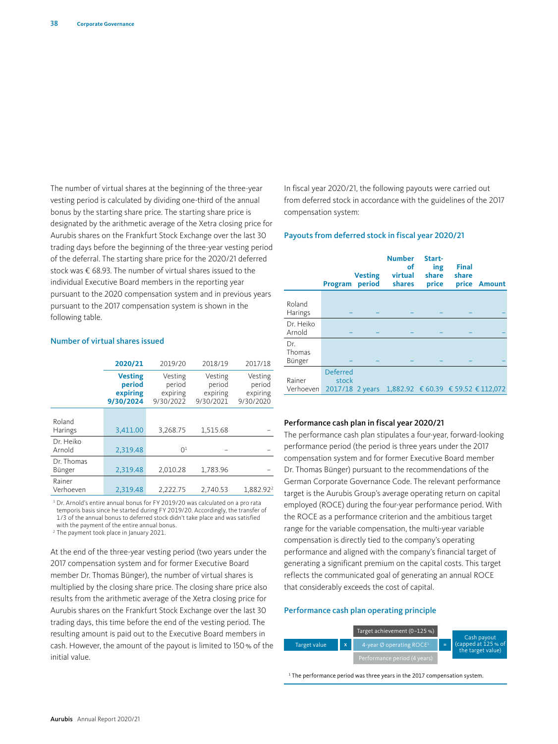The number of virtual shares at the beginning of the three-year vesting period is calculated by dividing one-third of the annual bonus by the starting share price. The starting share price is designated by the arithmetic average of the Xetra closing price for Aurubis shares on the Frankfurt Stock Exchange over the last 30 trading days before the beginning of the three-year vesting period of the deferral. The starting share price for the 2020/21 deferred stock was € 68.93. The number of virtual shares issued to the individual Executive Board members in the reporting year pursuant to the 2020 compensation system and in previous years pursuant to the 2017 compensation system is shown in the following table.

#### Number of virtual shares issued

|                          | 2020/21                                           | 2019/20<br>2018/19                         |                                            | 2017/18                                    |
|--------------------------|---------------------------------------------------|--------------------------------------------|--------------------------------------------|--------------------------------------------|
|                          | <b>Vesting</b><br>period<br>expiring<br>9/30/2024 | Vesting<br>period<br>expiring<br>9/30/2022 | Vesting<br>period<br>expiring<br>9/30/2021 | Vesting<br>period<br>expiring<br>9/30/2020 |
| Roland<br><b>Harings</b> | 3,411.00                                          | 3,268.75                                   | 1,515.68                                   |                                            |
| Dr. Heiko<br>Arnold      | 2.319.48                                          | 0 <sup>1</sup>                             |                                            |                                            |
| Dr. Thomas<br>Bünger     | 2,319.48                                          | 2.010.28                                   | 1.783.96                                   |                                            |
| Rainer<br>Verhoeven      | 2,319.48                                          | 2.222.75                                   | 2,740.53                                   | 1,882.92 <sup>2</sup>                      |

<sup>1</sup> Dr. Arnold's entire annual bonus for FY 2019/20 was calculated on a pro rata temporis basis since he started during FY 2019/20. Accordingly, the transfer of 1/3 of the annual bonus to deferred stock didn't take place and was satisfied with the payment of the entire annual bonus.

2 The payment took place in January 2021.

At the end of the three-year vesting period (two years under the 2017 compensation system and for former Executive Board member Dr. Thomas Bünger), the number of virtual shares is multiplied by the closing share price. The closing share price also results from the arithmetic average of the Xetra closing price for Aurubis shares on the Frankfurt Stock Exchange over the last 30 trading days, this time before the end of the vesting period. The resulting amount is paid out to the Executive Board members in cash. However, the amount of the payout is limited to 150% of the initial value.

In fiscal year 2020/21, the following payouts were carried out from deferred stock in accordance with the guidelines of the 2017 compensation system:

#### Payouts from deferred stock in fiscal year 2020/21

|                         | Program                                     | <b>Vesting</b><br>period | <b>Number</b><br>оf<br>virtual<br>shares | Start-<br>ing<br>share<br>price | <b>Final</b><br>share | price Amount                         |
|-------------------------|---------------------------------------------|--------------------------|------------------------------------------|---------------------------------|-----------------------|--------------------------------------|
| Roland<br>Harings       |                                             |                          |                                          |                                 |                       |                                      |
| Dr. Heiko<br>Arnold     |                                             |                          |                                          |                                 |                       |                                      |
| Dr.<br>Thomas<br>Bünger |                                             |                          |                                          |                                 |                       |                                      |
| Rainer<br>Verhoeven     | <b>Deferred</b><br>stock<br>2017/18 2 years |                          |                                          |                                 |                       | $1,882.92$ € 60.39 € 59.52 € 112,072 |

#### Performance cash plan in fiscal year 2020/21

The performance cash plan stipulates a four-year, forward-looking performance period (the period is three years under the 2017 compensation system and for former Executive Board member Dr. Thomas Bünger) pursuant to the recommendations of the German Corporate Governance Code. The relevant performance target is the Aurubis Group's average operating return on capital employed (ROCE) during the four-year performance period. With the ROCE as a performance criterion and the ambitious target range for the variable compensation, the multi-year variable compensation is directly tied to the company's operating performance and aligned with the company's financial target of generating a significant premium on the capital costs. This target reflects the communicated goal of generating an annual ROCE that considerably exceeds the cost of capital.

#### Performance cash plan operating principle Performance Cash Plan operating principle



<sup>1</sup> The performance period was three years in the 2017 compensation system.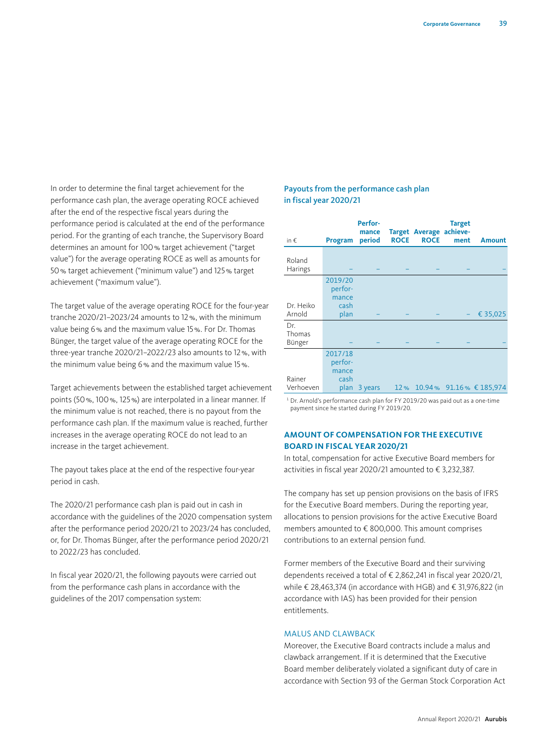In order to determine the final target achievement for the performance cash plan, the average operating ROCE achieved after the end of the respective fiscal years during the performance period is calculated at the end of the performance period. For the granting of each tranche, the Supervisory Board determines an amount for 100% target achievement ("target value") for the average operating ROCE as well as amounts for 50% target achievement ("minimum value") and 125% target achievement ("maximum value").

The target value of the average operating ROCE for the four-year tranche 2020/21–2023/24 amounts to 12%, with the minimum value being 6% and the maximum value 15%. For Dr. Thomas Bünger, the target value of the average operating ROCE for the three-year tranche 2020/21–2022/23 also amounts to 12%, with the minimum value being 6% and the maximum value 15%.

Target achievements between the established target achievement points (50%, 100%, 125%) are interpolated in a linear manner. If the minimum value is not reached, there is no payout from the performance cash plan. If the maximum value is reached, further increases in the average operating ROCE do not lead to an increase in the target achievement.

The payout takes place at the end of the respective four-year period in cash.

The 2020/21 performance cash plan is paid out in cash in accordance with the guidelines of the 2020 compensation system after the performance period 2020/21 to 2023/24 has concluded, or, for Dr. Thomas Bünger, after the performance period 2020/21 to 2022/23 has concluded.

In fiscal year 2020/21, the following payouts were carried out from the performance cash plans in accordance with the guidelines of the 2017 compensation system:

#### Payouts from the performance cash plan in fiscal year 2020/21

| in $\epsilon$           | Program                                     | <b>Perfor-</b><br>mance<br>period | <b>ROCE</b> | Target Average achieve-<br><b>ROCE</b> | <b>Target</b><br>ment | <b>Amount</b>               |
|-------------------------|---------------------------------------------|-----------------------------------|-------------|----------------------------------------|-----------------------|-----------------------------|
| Roland<br>Harings       |                                             |                                   |             |                                        |                       |                             |
| Dr. Heiko<br>Arnold     | 2019/20<br>perfor-<br>mance<br>cash<br>plan |                                   |             |                                        |                       | € 35,025                    |
| Dr.<br>Thomas<br>Bünger |                                             |                                   |             |                                        |                       |                             |
| Rainer<br>Verhoeven     | 2017/18<br>perfor-<br>mance<br>cash<br>plan | 3 years                           |             |                                        |                       | 12% 10.94% 91.16% € 185,974 |

<sup>1</sup> Dr. Arnold's performance cash plan for FY 2019/20 was paid out as a one-time payment since he started during FY 2019/20.

#### **AMOUNT OF COMPENSATION FOR THE EXECUTIVE BOARD IN FISCAL YEAR 2020/21**

In total, compensation for active Executive Board members for activities in fiscal year 2020/21 amounted to € 3,232,387.

The company has set up pension provisions on the basis of IFRS for the Executive Board members. During the reporting year, allocations to pension provisions for the active Executive Board members amounted to € 800,000. This amount comprises contributions to an external pension fund.

Former members of the Executive Board and their surviving dependents received a total of € 2,862,241 in fiscal year 2020/21, while € 28,463,374 (in accordance with HGB) and € 31,976,822 (in accordance with IAS) has been provided for their pension entitlements.

#### MALUS AND CLAWBACK

Moreover, the Executive Board contracts include a malus and clawback arrangement. If it is determined that the Executive Board member deliberately violated a significant duty of care in accordance with Section 93 of the German Stock Corporation Act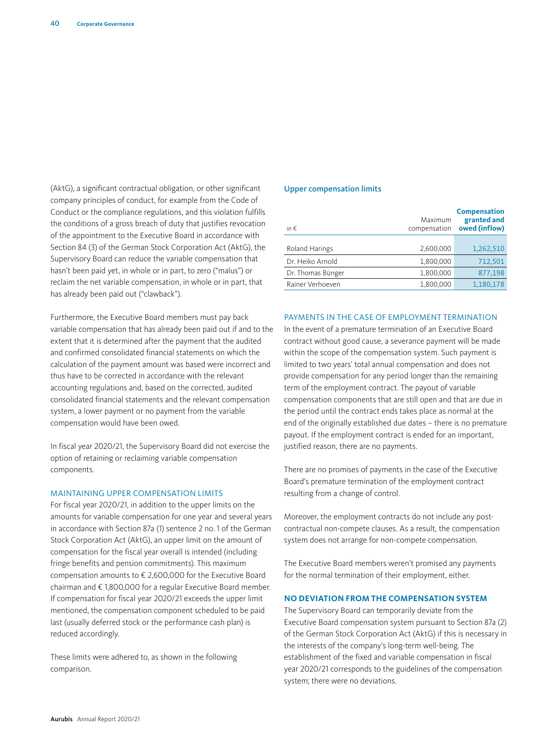(AktG), a significant contractual obligation, or other significant company principles of conduct, for example from the Code of Conduct or the compliance regulations, and this violation fulfills the conditions of a gross breach of duty that justifies revocation of the appointment to the Executive Board in accordance with Section 84 (3) of the German Stock Corporation Act (AktG), the Supervisory Board can reduce the variable compensation that hasn't been paid yet, in whole or in part, to zero ("malus") or reclaim the net variable compensation, in whole or in part, that has already been paid out ("clawback").

Furthermore, the Executive Board members must pay back variable compensation that has already been paid out if and to the extent that it is determined after the payment that the audited and confirmed consolidated financial statements on which the calculation of the payment amount was based were incorrect and thus have to be corrected in accordance with the relevant accounting regulations and, based on the corrected, audited consolidated financial statements and the relevant compensation system, a lower payment or no payment from the variable compensation would have been owed.

In fiscal year 2020/21, the Supervisory Board did not exercise the option of retaining or reclaiming variable compensation components.

#### MAINTAINING UPPER COMPENSATION LIMITS

For fiscal year 2020/21, in addition to the upper limits on the amounts for variable compensation for one year and several years in accordance with Section 87a (1) sentence 2 no. 1 of the German Stock Corporation Act (AktG), an upper limit on the amount of compensation for the fiscal year overall is intended (including fringe benefits and pension commitments). This maximum compensation amounts to € 2,600,000 for the Executive Board chairman and € 1,800,000 for a regular Executive Board member. If compensation for fiscal year 2020/21 exceeds the upper limit mentioned, the compensation component scheduled to be paid last (usually deferred stock or the performance cash plan) is reduced accordingly.

These limits were adhered to, as shown in the following comparison.

#### Upper compensation limits

| in $\epsilon$     | Maximum<br>compensation | <b>Compensation</b><br>granted and<br>owed (inflow) |
|-------------------|-------------------------|-----------------------------------------------------|
|                   |                         |                                                     |
| Roland Harings    | 2,600,000               | 1,262,510                                           |
| Dr. Heiko Arnold  | 1,800,000               | 712,501                                             |
| Dr. Thomas Bünger | 1,800,000               | 877,198                                             |
| Rainer Verhoeven  | 1,800,000               | 1,180,178                                           |

#### PAYMENTS IN THE CASE OF EMPLOYMENT TERMINATION

In the event of a premature termination of an Executive Board contract without good cause, a severance payment will be made within the scope of the compensation system. Such payment is limited to two years' total annual compensation and does not provide compensation for any period longer than the remaining term of the employment contract. The payout of variable compensation components that are still open and that are due in the period until the contract ends takes place as normal at the end of the originally established due dates – there is no premature payout. If the employment contract is ended for an important, justified reason, there are no payments.

There are no promises of payments in the case of the Executive Board's premature termination of the employment contract resulting from a change of control.

Moreover, the employment contracts do not include any postcontractual non-compete clauses. As a result, the compensation system does not arrange for non-compete compensation.

The Executive Board members weren't promised any payments for the normal termination of their employment, either.

#### **NO DEVIATION FROM THE COMPENSATION SYSTEM**

The Supervisory Board can temporarily deviate from the Executive Board compensation system pursuant to Section 87a (2) of the German Stock Corporation Act (AktG) if this is necessary in the interests of the company's long-term well-being. The establishment of the fixed and variable compensation in fiscal year 2020/21 corresponds to the guidelines of the compensation system; there were no deviations.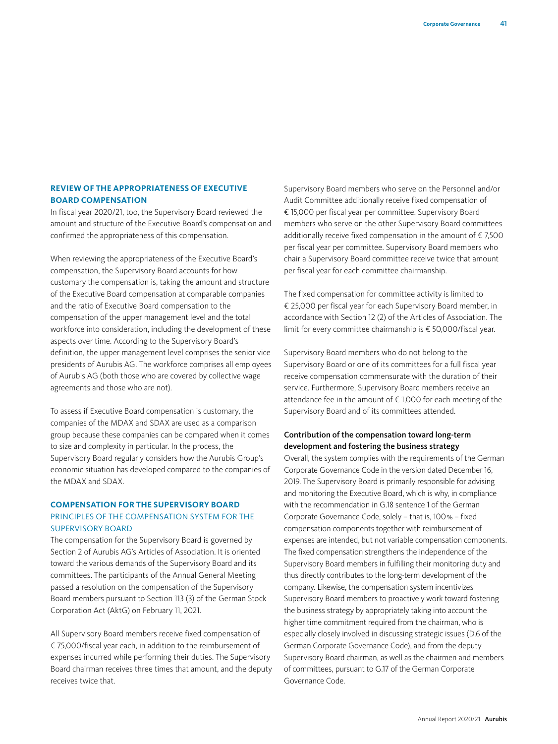#### **REVIEW OF THE APPROPRIATENESS OF EXECUTIVE BOARD COMPENSATION**

In fiscal year 2020/21, too, the Supervisory Board reviewed the amount and structure of the Executive Board's compensation and confirmed the appropriateness of this compensation.

When reviewing the appropriateness of the Executive Board's compensation, the Supervisory Board accounts for how customary the compensation is, taking the amount and structure of the Executive Board compensation at comparable companies and the ratio of Executive Board compensation to the compensation of the upper management level and the total workforce into consideration, including the development of these aspects over time. According to the Supervisory Board's definition, the upper management level comprises the senior vice presidents of Aurubis AG. The workforce comprises all employees of Aurubis AG (both those who are covered by collective wage agreements and those who are not).

To assess if Executive Board compensation is customary, the companies of the MDAX and SDAX are used as a comparison group because these companies can be compared when it comes to size and complexity in particular. In the process, the Supervisory Board regularly considers how the Aurubis Group's economic situation has developed compared to the companies of the MDAX and SDAX.

#### **COMPENSATION FOR THE SUPERVISORY BOARD** PRINCIPLES OF THE COMPENSATION SYSTEM FOR THE SUPERVISORY BOARD

The compensation for the Supervisory Board is governed by Section 2 of Aurubis AG's Articles of Association. It is oriented toward the various demands of the Supervisory Board and its committees. The participants of the Annual General Meeting passed a resolution on the compensation of the Supervisory Board members pursuant to Section 113 (3) of the German Stock Corporation Act (AktG) on February 11, 2021.

All Supervisory Board members receive fixed compensation of € 75,000/fiscal year each, in addition to the reimbursement of expenses incurred while performing their duties. The Supervisory Board chairman receives three times that amount, and the deputy receives twice that.

Supervisory Board members who serve on the Personnel and/or Audit Committee additionally receive fixed compensation of € 15,000 per fiscal year per committee. Supervisory Board members who serve on the other Supervisory Board committees additionally receive fixed compensation in the amount of € 7,500 per fiscal year per committee. Supervisory Board members who chair a Supervisory Board committee receive twice that amount per fiscal year for each committee chairmanship.

The fixed compensation for committee activity is limited to € 25,000 per fiscal year for each Supervisory Board member, in accordance with Section 12 (2) of the Articles of Association. The limit for every committee chairmanship is € 50,000/fiscal year.

Supervisory Board members who do not belong to the Supervisory Board or one of its committees for a full fiscal year receive compensation commensurate with the duration of their service. Furthermore, Supervisory Board members receive an attendance fee in the amount of € 1,000 for each meeting of the Supervisory Board and of its committees attended.

# Contribution of the compensation toward long-term development and fostering the business strategy

Overall, the system complies with the requirements of the German Corporate Governance Code in the version dated December 16, 2019. The Supervisory Board is primarily responsible for advising and monitoring the Executive Board, which is why, in compliance with the recommendation in G.18 sentence 1 of the German Corporate Governance Code, solely – that is, 100% – fixed compensation components together with reimbursement of expenses are intended, but not variable compensation components. The fixed compensation strengthens the independence of the Supervisory Board members in fulfilling their monitoring duty and thus directly contributes to the long-term development of the company. Likewise, the compensation system incentivizes Supervisory Board members to proactively work toward fostering the business strategy by appropriately taking into account the higher time commitment required from the chairman, who is especially closely involved in discussing strategic issues (D.6 of the German Corporate Governance Code), and from the deputy Supervisory Board chairman, as well as the chairmen and members of committees, pursuant to G.17 of the German Corporate Governance Code.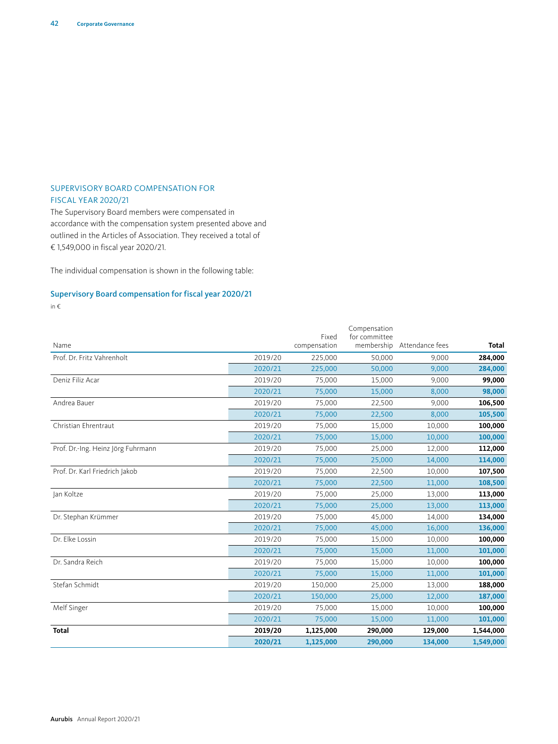#### SUPERVISORY BOARD COMPENSATION FOR FISCAL YEAR 2020/21

The Supervisory Board members were compensated in accordance with the compensation system presented above and outlined in the Articles of Association. They received a total of € 1,549,000 in fiscal year 2020/21.

The individual compensation is shown in the following table:

# Supervisory Board compensation for fiscal year 2020/21

in €

|                                    |         | Fixed        | Compensation<br>for committee |                 |              |
|------------------------------------|---------|--------------|-------------------------------|-----------------|--------------|
| Name                               |         | compensation | membership                    | Attendance fees | <b>Total</b> |
| Prof. Dr. Fritz Vahrenholt         | 2019/20 | 225,000      | 50,000                        | 9.000           | 284,000      |
|                                    | 2020/21 | 225,000      | 50,000                        | 9,000           | 284,000      |
| Deniz Filiz Acar                   | 2019/20 | 75,000       | 15,000                        | 9,000           | 99,000       |
|                                    | 2020/21 | 75,000       | 15,000                        | 8,000           | 98,000       |
| Andrea Bauer                       | 2019/20 | 75,000       | 22,500                        | 9,000           | 106,500      |
|                                    | 2020/21 | 75,000       | 22,500                        | 8,000           | 105,500      |
| Christian Ehrentraut               | 2019/20 | 75,000       | 15,000                        | 10,000          | 100,000      |
|                                    | 2020/21 | 75,000       | 15,000                        | 10,000          | 100,000      |
| Prof. Dr.-Ing. Heinz Jörg Fuhrmann | 2019/20 | 75,000       | 25,000                        | 12,000          | 112,000      |
|                                    | 2020/21 | 75,000       | 25,000                        | 14,000          | 114,000      |
| Prof. Dr. Karl Friedrich Jakob     | 2019/20 | 75,000       | 22,500                        | 10,000          | 107,500      |
|                                    | 2020/21 | 75,000       | 22,500                        | 11,000          | 108,500      |
| Jan Koltze                         | 2019/20 | 75,000       | 25,000                        | 13,000          | 113,000      |
|                                    | 2020/21 | 75,000       | 25,000                        | 13,000          | 113,000      |
| Dr. Stephan Krümmer                | 2019/20 | 75,000       | 45,000                        | 14,000          | 134,000      |
|                                    | 2020/21 | 75,000       | 45,000                        | 16,000          | 136,000      |
| Dr. Elke Lossin                    | 2019/20 | 75,000       | 15,000                        | 10,000          | 100,000      |
|                                    | 2020/21 | 75,000       | 15,000                        | 11,000          | 101,000      |
| Dr. Sandra Reich                   | 2019/20 | 75,000       | 15,000                        | 10,000          | 100,000      |
|                                    | 2020/21 | 75,000       | 15,000                        | 11,000          | 101,000      |
| Stefan Schmidt                     | 2019/20 | 150,000      | 25,000                        | 13,000          | 188,000      |
|                                    | 2020/21 | 150,000      | 25,000                        | 12,000          | 187,000      |
| Melf Singer                        | 2019/20 | 75,000       | 15,000                        | 10,000          | 100,000      |
|                                    | 2020/21 | 75,000       | 15,000                        | 11,000          | 101,000      |
| <b>Total</b>                       | 2019/20 | 1,125,000    | 290,000                       | 129,000         | 1,544,000    |
|                                    | 2020/21 | 1,125,000    | 290,000                       | 134,000         | 1,549,000    |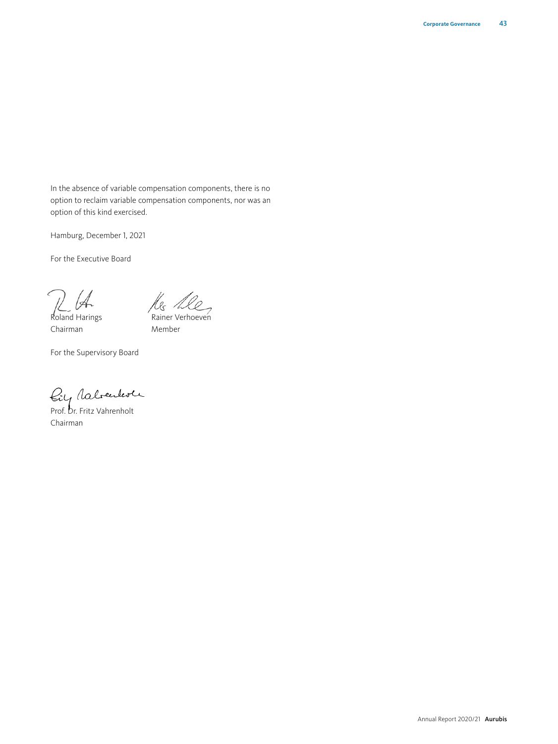In the absence of variable compensation components, there is no option to reclaim variable compensation components, nor was an option of this kind exercised.

Hamburg, December 1, 2021

For the Executive Board

Roland Harings

Res 1. Rainer Verhoeven

Chairman

Member

For the Supervisory Board

Prof. Dr. Fritz Vahrenholt

Chairman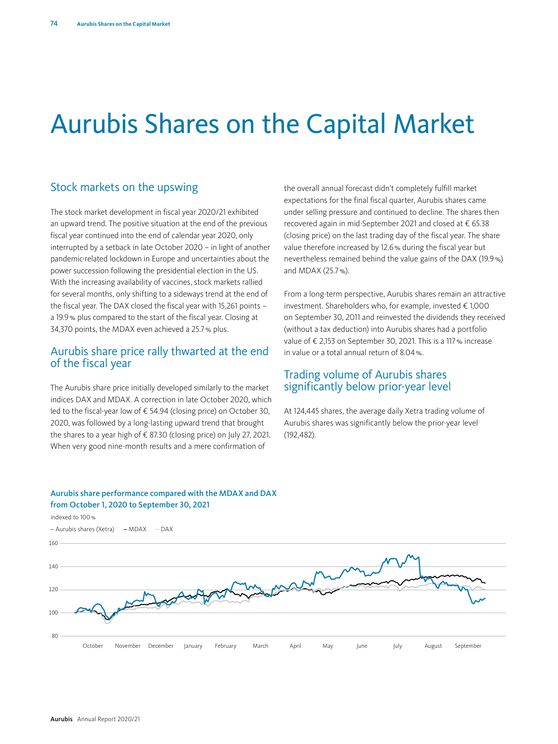# Aurubis Shares on the Capital Market

# Stock markets on the upswing

The stock market development in fiscal year 2020/21 exhibited an upward trend. The positive situation at the end of the previous fiscal year continued into the end of calendar year 2020, only interrupted by a setback in late October 2020 – in light of another pandemic-related lockdown in Europe and uncertainties about the power succession following the presidential election in the US. With the increasing availability of vaccines, stock markets rallied for several months, only shifting to a sideways trend at the end of the fiscal year. The DAX closed the fiscal year with 15,261 points – a 19.9% plus compared to the start of the fiscal year. Closing at 34,370 points, the MDAX even achieved a 25.7% plus.

# Aurubis share price rally thwarted at the end of the fiscal year

The Aurubis share price initially developed similarly to the market indices DAX and MDAX. A correction in late October 2020, which led to the fiscal-year low of € 54.94 (closing price) on October 30, 2020, was followed by a long-lasting upward trend that brought the shares to a year high of € 87.30 (closing price) on July 27, 2021. When very good nine-month results and a mere confirmation of

the overall annual forecast didn't completely fulfill market expectations for the final fiscal quarter, Aurubis shares came under selling pressure and continued to decline. The shares then recovered again in mid-September 2021 and closed at € 65.38 (closing price) on the last trading day of the fiscal year. The share value therefore increased by 12.6% during the fiscal year but nevertheless remained behind the value gains of the DAX (19.9%) and MDAX (25.7%).

From a long-term perspective, Aurubis shares remain an attractive investment. Shareholders who, for example, invested € 1,000 on September 30, 2011 and reinvested the dividends they received (without a tax deduction) into Aurubis shares had a portfolio value of € 2,153 on September 30, 2021. This is a 117% increase in value or a total annual return of 8.04%.

# Trading volume of Aurubis shares significantly below prior-year level

At 124,445 shares, the average daily Xetra trading volume of Aurubis shares was significantly below the prior-year level (192,482).

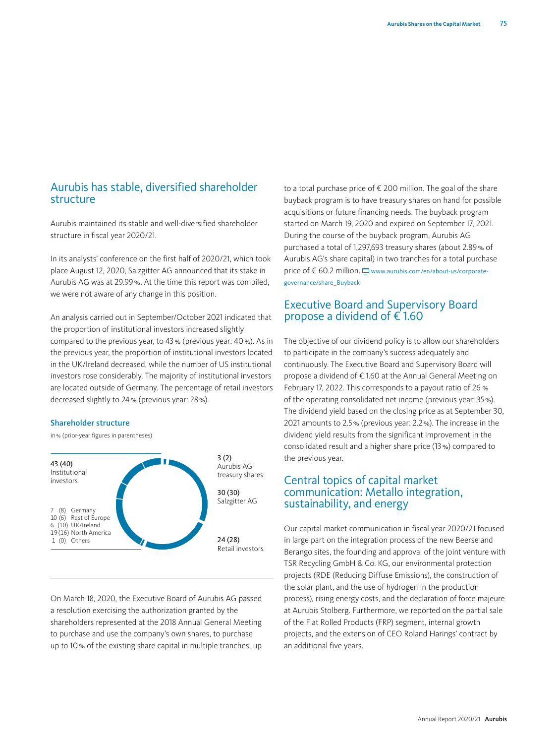# Aurubis has stable, diversified shareholder structure

Aurubis maintained its stable and well-diversified shareholder structure in fiscal year 2020/21.

In its analysts' conference on the first half of 2020/21, which took place August 12, 2020, Salzgitter AG announced that its stake in Aurubis AG was at 29.99%. At the time this report was compiled, we were not aware of any change in this position.

An analysis carried out in September/October 2021 indicated that the proportion of institutional investors increased slightly compared to the previous year, to 43% (previous year: 40%). As in the previous year, the proportion of institutional investors located in the UK/Ireland decreased, while the number of US institutional investors rose considerably. The majority of institutional investors are located outside of Germany. The percentage of retail investors decreased slightly to 24% (previous year: 28%).

#### Shareholder structure

in% (prior-year figures in parentheses)



On March 18, 2020, the Executive Board of Aurubis AG passed a resolution exercising the authorization granted by the shareholders represented at the 2018 Annual General Meeting to purchase and use the company's own shares, to purchase up to 10% of the existing share capital in multiple tranches, up

to a total purchase price of € 200 million. The goal of the share buyback program is to have treasury shares on hand for possible acquisitions or future financing needs. The buyback program started on March 19, 2020 and expired on September 17, 2021. During the course of the buyback program, Aurubis AG purchased a total of 1,297,693 treasury shares (about 2.89% of Aurubis AG's share capital) in two tranches for a total purchase price of € 60.2 million.  $\Box$  www.aurubis.com/en/about-us/corporategovernance/share\_Buyback

# Executive Board and Supervisory Board propose a dividend of  $\epsilon$  1.60

The objective of our dividend policy is to allow our shareholders to participate in the company's success adequately and continuously. The Executive Board and Supervisory Board will propose a dividend of € 1.60 at the Annual General Meeting on February 17, 2022. This corresponds to a payout ratio of 26 % of the operating consolidated net income (previous year: 35%). The dividend yield based on the closing price as at September 30, 2021 amounts to 2.5% (previous year: 2.2%). The increase in the dividend yield results from the significant improvement in the consolidated result and a higher share price (13%) compared to the previous year.

# Central topics of capital market communication: Metallo integration, sustainability, and energy

Our capital market communication in fiscal year 2020/21 focused in large part on the integration process of the new Beerse and Berango sites, the founding and approval of the joint venture with TSR Recycling GmbH & Co. KG, our environmental protection projects (RDE (Reducing Diffuse Emissions), the construction of the solar plant, and the use of hydrogen in the production process), rising energy costs, and the declaration of force majeure at Aurubis Stolberg. Furthermore, we reported on the partial sale of the Flat Rolled Products (FRP) segment, internal growth projects, and the extension of CEO Roland Harings' contract by an additional five years.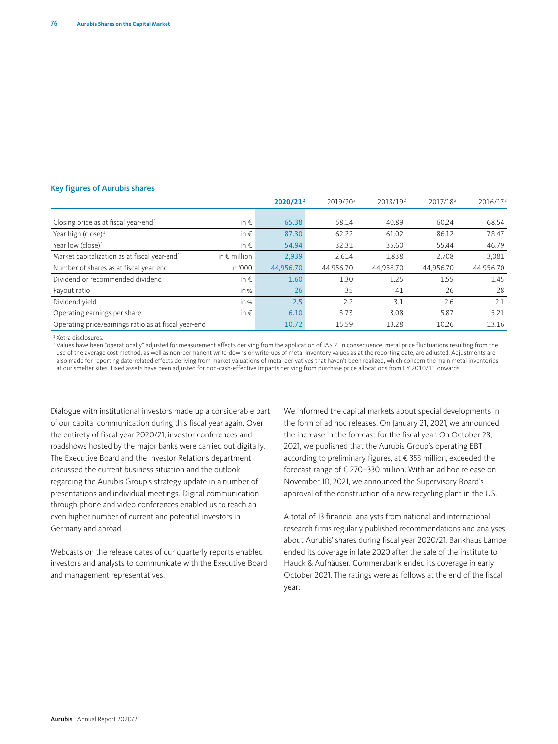#### Key figures of Aurubis shares

|                                                          |                       | 2020/21 <sup>2</sup> | 2019/202  | 2018/19 <sup>2</sup> | 2017/18 <sup>2</sup> | 2016/17 <sup>2</sup> |
|----------------------------------------------------------|-----------------------|----------------------|-----------|----------------------|----------------------|----------------------|
|                                                          |                       |                      |           |                      |                      |                      |
| Closing price as at fiscal year-end <sup>1</sup>         | in $\epsilon$         | 65.38                | 58.14     | 40.89                | 60.24                | 68.54                |
| Year high (close) $1$                                    | in $\epsilon$         | 87.30                | 62.22     | 61.02                | 86.12                | 78.47                |
| Year low (close) $1$                                     | in $\epsilon$         | 54.94                | 32.31     | 35.60                | 55.44                | 46.79                |
| Market capitalization as at fiscal year-end <sup>1</sup> | in $\epsilon$ million | 2,939                | 2.614     | 1,838                | 2.708                | 3,081                |
| Number of shares as at fiscal year-end                   | in '000               | 44,956.70            | 44.956.70 | 44.956.70            | 44.956.70            | 44,956.70            |
| Dividend or recommended dividend                         | in $\epsilon$         | 1.60                 | 1.30      | 1.25                 | 1.55                 | 1.45                 |
| Payout ratio                                             | in %                  | 26                   | 35        | 41                   | 26                   | 28                   |
| Dividend yield                                           | in %                  | 2.5                  | 2.2       | 3.1                  | 2.6                  | 2.1                  |
| Operating earnings per share                             | in $\epsilon$         | 6.10                 | 3.73      | 3.08                 | 5.87                 | 5.21                 |
| Operating price/earnings ratio as at fiscal year-end     |                       | 10.72                | 15.59     | 13.28                | 10.26                | 13.16                |

1 Xetra disclosures.

<sup>2</sup> Values have been "operationally" adjusted for measurement effects deriving from the application of IAS 2. In consequence, metal price fluctuations resulting from the<br>use of the average cost method, as well as non-perma also made for reporting date-related effects deriving from market valuations of metal derivatives that haven't been realized, which concern the main metal inventories at our smelter sites. Fixed assets have been adjusted for non-cash-effective impacts deriving from purchase price allocations from FY 2010/11 onwards.

Dialogue with institutional investors made up a considerable part of our capital communication during this fiscal year again. Over the entirety of fiscal year 2020/21, investor conferences and roadshows hosted by the major banks were carried out digitally. The Executive Board and the Investor Relations department discussed the current business situation and the outlook regarding the Aurubis Group's strategy update in a number of presentations and individual meetings. Digital communication through phone and video conferences enabled us to reach an even higher number of current and potential investors in Germany and abroad.

Webcasts on the release dates of our quarterly reports enabled investors and analysts to communicate with the Executive Board and management representatives.

We informed the capital markets about special developments in the form of ad hoc releases. On January 21, 2021, we announced the increase in the forecast for the fiscal year. On October 28, 2021, we published that the Aurubis Group's operating EBT according to preliminary figures, at € 353 million, exceeded the forecast range of € 270–330 million. With an ad hoc release on November 10, 2021, we announced the Supervisory Board's approval of the construction of a new recycling plant in the US.

A total of 13 financial analysts from national and international research firms regularly published recommendations and analyses about Aurubis' shares during fiscal year 2020/21. Bankhaus Lampe ended its coverage in late 2020 after the sale of the institute to Hauck & Aufhäuser. Commerzbank ended its coverage in early October 2021. The ratings were as follows at the end of the fiscal year: